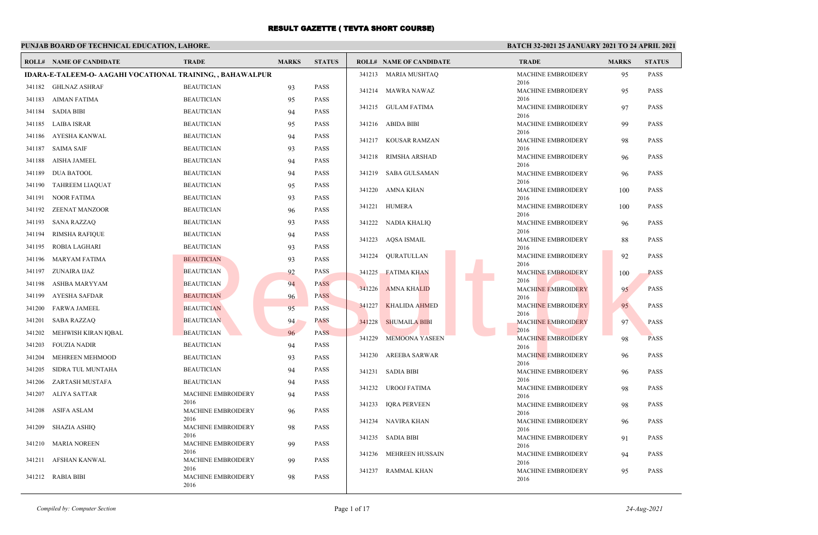### **PUNJAB BOARD OF TECHNICAL EDUCATION, LAHORE.**

#### **BATCH 32-2021 25 JANUARY 2021 TO 24 APRIL 2021**

|        | <b>ROLL# NAME OF CANDIDATE</b>                                    | <b>TRADE</b>                      | <b>MARKS</b> | <b>STATUS</b> |        | <b>ROLL# NAME OF CANDIDATE</b> | <b>TRADE</b>                      | <b>MARKS</b> | <b>STATUS</b> |
|--------|-------------------------------------------------------------------|-----------------------------------|--------------|---------------|--------|--------------------------------|-----------------------------------|--------------|---------------|
|        | <b>IDARA-E-TALEEM-O- AAGAHI VOCATIONAL TRAINING, , BAHAWALPUR</b> |                                   |              |               |        | 341213 MARIA MUSHTAQ           | <b>MACHINE EMBROIDERY</b>         | 95           | PASS          |
|        | 341182 GHLNAZ ASHRAF                                              | <b>BEAUTICIAN</b>                 | 93           | <b>PASS</b>   |        | 341214 MAWRA NAWAZ             | 2016<br><b>MACHINE EMBROIDERY</b> | 95           | <b>PASS</b>   |
| 341183 | AIMAN FATIMA                                                      | <b>BEAUTICIAN</b>                 | 95           | <b>PASS</b>   |        |                                | 2016                              |              |               |
| 341184 | <b>SADIA BIBI</b>                                                 | <b>BEAUTICIAN</b>                 | 94           | <b>PASS</b>   |        | 341215 GULAM FATIMA            | MACHINE EMBROIDERY<br>2016        | 97           | <b>PASS</b>   |
| 341185 | LAIBA ISRAR                                                       | <b>BEAUTICIAN</b>                 | 95           | <b>PASS</b>   |        | 341216 ABIDA BIBI              | <b>MACHINE EMBROIDERY</b>         | 99           | <b>PASS</b>   |
| 341186 | AYESHA KANWAL                                                     | <b>BEAUTICIAN</b>                 | 94           | <b>PASS</b>   |        | 341217 KOUSAR RAMZAN           | 2016<br><b>MACHINE EMBROIDERY</b> | 98           | <b>PASS</b>   |
| 341187 | SAIMA SAIF                                                        | <b>BEAUTICIAN</b>                 | 93           | <b>PASS</b>   |        |                                | 2016                              |              |               |
| 341188 | AISHA JAMEEL                                                      | <b>BEAUTICIAN</b>                 | 94           | <b>PASS</b>   |        | 341218 RIMSHA ARSHAD           | MACHINE EMBROIDERY<br>2016        | 96           | PASS          |
| 341189 | <b>DUA BATOOL</b>                                                 | <b>BEAUTICIAN</b>                 | 94           | <b>PASS</b>   |        | 341219 SABA GULSAMAN           | <b>MACHINE EMBROIDERY</b>         | 96           | PASS          |
| 341190 | <b>TAHREEM LIAQUAT</b>                                            | <b>BEAUTICIAN</b>                 | 95           | <b>PASS</b>   |        | 341220 AMNA KHAN               | 2016<br><b>MACHINE EMBROIDERY</b> |              | PASS          |
| 341191 | <b>NOOR FATIMA</b>                                                | <b>BEAUTICIAN</b>                 | 93           | <b>PASS</b>   |        |                                | 2016                              | 100          |               |
| 341192 | <b>ZEENAT MANZOOR</b>                                             | <b>BEAUTICIAN</b>                 | 96           | <b>PASS</b>   | 341221 | HUMERA                         | <b>MACHINE EMBROIDERY</b>         | 100          | PASS          |
| 341193 | <b>SANA RAZZAQ</b>                                                | <b>BEAUTICIAN</b>                 | 93           | <b>PASS</b>   |        | 341222 NADIA KHALIQ            | 2016<br>MACHINE EMBROIDERY        | 96           | <b>PASS</b>   |
| 341194 | <b>RIMSHA RAFIQUE</b>                                             | <b>BEAUTICIAN</b>                 | 94           | <b>PASS</b>   |        |                                | 2016                              |              |               |
| 341195 | ROBIA LAGHARI                                                     | <b>BEAUTICIAN</b>                 | 93           | <b>PASS</b>   |        | 341223 AOSA ISMAIL             | <b>MACHINE EMBROIDERY</b><br>2016 | 88           | <b>PASS</b>   |
| 341196 | MARYAM FATIMA                                                     | <b>BEAUTICIAN</b>                 | 93           | <b>PASS</b>   | 341224 | OURATULLAN                     | <b>MACHINE EMBROIDERY</b>         | 92           | <b>PASS</b>   |
| 341197 | ZUNAIRA IJAZ                                                      | <b>BEAUTICIAN</b>                 | 92           | <b>PASS</b>   |        | 341225 FATIMA KHAN             | 2016<br><b>MACHINE EMBROIDERY</b> | 100          | PASS          |
| 341198 | ASHBA MARYYAM                                                     | <b>BEAUTICIAN</b>                 | 94           | <b>PASS</b>   |        |                                | 2016                              |              |               |
| 341199 | AYESHA SAFDAR                                                     | <b>BEAUTICIAN</b>                 | 96           | <b>PASS</b>   | 341226 | <b>AMNA KHALID</b>             | <b>MACHINE EMBROIDERY</b><br>2016 | 95           | <b>PASS</b>   |
| 341200 | <b>FARWA JAMEEL</b>                                               | <b>BEAUTICIAN</b>                 | 95           | <b>PASS</b>   | 341227 | <b>KHALIDA AHMED</b>           | <b>MACHINE EMBROIDERY</b>         | 95           | <b>PASS</b>   |
| 341201 | <b>SABA RAZZAQ</b>                                                | <b>BEAUTICIAN</b>                 | 94           | <b>PASS</b>   | 341228 | <b>SHUMAILA BIBI</b>           | 2016<br><b>MACHINE EMBROIDERY</b> | 97           | <b>PASS</b>   |
| 341202 | MEHWISH KIRAN IQBAL                                               | <b>BEAUTICIAN</b>                 | 96           | <b>PASS</b>   |        |                                | 2016                              |              |               |
| 341203 | <b>FOUZIA NADIR</b>                                               | <b>BEAUTICIAN</b>                 | 94           | PASS          |        | 341229 MEMOONA YASEEN          | <b>MACHINE EMBROIDERY</b><br>2016 | 98           | <b>PASS</b>   |
| 341204 | MEHREEN MEHMOOD                                                   | <b>BEAUTICIAN</b>                 | 93           | PASS          |        | 341230 AREEBA SARWAR           | <b>MACHINE EMBROIDERY</b>         | 96           | <b>PASS</b>   |
| 341205 | SIDRA TUL MUNTAHA                                                 | <b>BEAUTICIAN</b>                 | 94           | <b>PASS</b>   |        | 341231 SADIA BIBI              | 2016<br><b>MACHINE EMBROIDERY</b> | 96           | <b>PASS</b>   |
| 341206 | ZARTASH MUSTAFA                                                   | <b>BEAUTICIAN</b>                 | 94           | <b>PASS</b>   |        |                                | 2016                              |              |               |
| 341207 | ALIYA SATTAR                                                      | MACHINE EMBROIDERY                | 94           | <b>PASS</b>   |        | 341232 UROOJ FATIMA            | <b>MACHINE EMBROIDERY</b><br>2016 | 98           | PASS          |
| 341208 | ASIFA ASLAM                                                       | 2016<br>MACHINE EMBROIDERY        | 96           | <b>PASS</b>   | 341233 | <b>IQRA PERVEEN</b>            | <b>MACHINE EMBROIDERY</b>         | 98           | <b>PASS</b>   |
|        |                                                                   | 2016                              |              |               |        | 341234 NAVIRA KHAN             | 2016<br>MACHINE EMBROIDERY        | 96           | PASS          |
| 341209 | <b>SHAZIA ASHIQ</b>                                               | <b>MACHINE EMBROIDERY</b><br>2016 | 98           | PASS          |        |                                | 2016                              |              |               |
| 341210 | <b>MARIA NOREEN</b>                                               | <b>MACHINE EMBROIDERY</b>         | 99           | <b>PASS</b>   |        | 341235 SADIA BIBI              | <b>MACHINE EMBROIDERY</b><br>2016 | 91           | <b>PASS</b>   |
|        |                                                                   | 2016                              |              |               | 341236 | MEHREEN HUSSAIN                | <b>MACHINE EMBROIDERY</b>         | 94           | <b>PASS</b>   |
| 341211 | AFSHAN KANWAL                                                     | MACHINE EMBROIDERY<br>2016        | 99           | <b>PASS</b>   |        | 341237 RAMMAL KHAN             | 2016<br><b>MACHINE EMBROIDERY</b> | 95           | PASS          |
|        | 341212 RABIA BIBI                                                 | MACHINE EMBROIDERY<br>2016        | 98           | PASS          |        |                                | 2016                              |              |               |

*Compiled by: Computer Section* Page 1 of 17 *24-Aug-2021*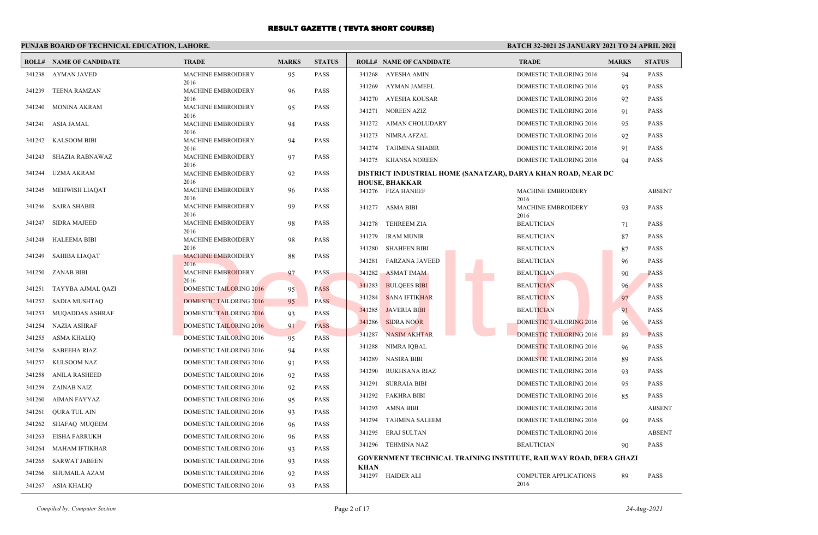### **PUNJAB BOARD OF TECHNICAL EDUCATION, LAHORE.**

|        | <b>ROLL# NAME OF CANDIDATE</b> | <b>TRADE</b>                      | <b>MARKS</b> | <b>STATUS</b> | <b>ROLL# NAME OF CANDIDATE</b>             | <b>TRADE</b>                                                      | <b>MARKS</b> | <b>STATUS</b> |
|--------|--------------------------------|-----------------------------------|--------------|---------------|--------------------------------------------|-------------------------------------------------------------------|--------------|---------------|
| 341238 | AYMAN JAVED                    | MACHINE EMBROIDERY                | 95           | <b>PASS</b>   | 341268 AYESHA AMIN                         | <b>DOMESTIC TAILORING 2016</b>                                    | 94           | <b>PASS</b>   |
| 341239 | TEENA RAMZAN                   | 2016<br>MACHINE EMBROIDERY        | 96           | <b>PASS</b>   | <b>AYMAN JAMEEL</b><br>341269              | DOMESTIC TAILORING 2016                                           | 93           | <b>PASS</b>   |
|        |                                | 2016                              |              |               | 341270<br>AYESHA KOUSAR                    | DOMESTIC TAILORING 2016                                           | 92           | <b>PASS</b>   |
| 341240 | MONINA AKRAM                   | <b>MACHINE EMBROIDERY</b><br>2016 | 95           | <b>PASS</b>   | <b>NOREEN AZIZ</b><br>341271               | DOMESTIC TAILORING 2016                                           | 91           | <b>PASS</b>   |
| 341241 | ASIA JAMAL                     | <b>MACHINE EMBROIDERY</b>         | 94           | <b>PASS</b>   | 341272 AIMAN CHOLUDARY                     | DOMESTIC TAILORING 2016                                           | 95           | <b>PASS</b>   |
|        |                                | 2016                              |              |               | 341273 NIMRA AFZAL                         | DOMESTIC TAILORING 2016                                           | 92           | <b>PASS</b>   |
| 341242 | <b>KALSOOM BIBI</b>            | MACHINE EMBROIDERY<br>2016        | 94           | <b>PASS</b>   | 341274 TAHMINA SHABIR                      | DOMESTIC TAILORING 2016                                           | 91           | <b>PASS</b>   |
| 341243 | SHAZIA RABNAWAZ                | MACHINE EMBROIDERY                | 97           | <b>PASS</b>   | 341275 KHANSA NOREEN                       | <b>DOMESTIC TAILORING 2016</b>                                    | 94           | <b>PASS</b>   |
| 341244 | UZMA AKRAM                     | 2016<br>MACHINE EMBROIDERY        | 92           | <b>PASS</b>   |                                            | DISTRICT INDUSTRIAL HOME (SANATZAR), DARYA KHAN ROAD, NEAR DC     |              |               |
|        |                                | 2016                              |              |               | <b>HOUSE, BHAKKAR</b>                      |                                                                   |              |               |
| 341245 | MEHWISH LIAQAT                 | MACHINE EMBROIDERY<br>2016        | 96           | <b>PASS</b>   | 341276 FIZA HANEEF                         | <b>MACHINE EMBROIDERY</b><br>2016                                 |              | <b>ABSENT</b> |
| 341246 | <b>SAIRA SHABIR</b>            | MACHINE EMBROIDERY                | 99           | <b>PASS</b>   | 341277 ASMA BIBI                           | <b>MACHINE EMBROIDERY</b>                                         | 93           | <b>PASS</b>   |
| 341247 | SIDRA MAJEED                   | 2016<br><b>MACHINE EMBROIDERY</b> | 98           | <b>PASS</b>   | 341278 TEHREEM ZIA                         | 2016<br><b>BEAUTICIAN</b>                                         | 71           | <b>PASS</b>   |
|        |                                | 2016                              |              |               | 341279<br><b>IRAM MUNIR</b>                | <b>BEAUTICIAN</b>                                                 | 87           | <b>PASS</b>   |
| 341248 | <b>HALEEMA BIBI</b>            | MACHINE EMBROIDERY<br>2016        | 98           | <b>PASS</b>   | 341280<br><b>SHAHEEN BIBI</b>              | <b>BEAUTICIAN</b>                                                 | 87           | <b>PASS</b>   |
| 341249 | SAHIBA LIAQAT                  | <b>MACHINE EMBROIDERY</b>         | 88           | <b>PASS</b>   | 341281<br><b>FARZANA JAVEED</b>            | <b>BEAUTICIAN</b>                                                 | 96           | <b>PASS</b>   |
|        | 341250 ZANAB BIBI              | 2016<br><b>MACHINE EMBROIDERY</b> | 97           | PASS          | 341282<br><b>ASMAT IMAM</b>                | <b>BEAUTICIAN</b>                                                 | 90           | <b>PASS</b>   |
|        |                                | 2016                              |              |               | 341283<br><b>BULQEES BIBI</b>              | <b>BEAUTICIAN</b>                                                 | 96           | <b>PASS</b>   |
| 341251 | TAYYBA AJMAL QAZI              | <b>DOMESTIC TAILORING 2016</b>    | 95           | <b>PASS</b>   | 341284<br><b>SANA IFTIKHAR</b>             | <b>BEAUTICIAN</b>                                                 | 97           | <b>PASS</b>   |
| 341252 | SADIA MUSHTAQ                  | <b>DOMESTIC TAILORING 2016</b>    | 95           | <b>PASS</b>   | <b>JAVERIA BIBI</b><br>341285              | <b>BEAUTICIAN</b>                                                 |              | <b>PASS</b>   |
| 341253 | MUQADDAS ASHRAF                | <b>DOMESTIC TAILORING 2016</b>    | 93           | <b>PASS</b>   |                                            |                                                                   | 91           |               |
| 341254 | <b>NAZIA ASHRAF</b>            | <b>DOMESTIC TAILORING 2016</b>    | 91           | <b>PASS</b>   | 341286<br><b>SIDRA NOOR</b>                | DOMESTIC TAILORING 2016                                           | 96           | PASS          |
| 341255 | ASMA KHALIQ                    | <b>DOMESTIC TAILORING 2016</b>    | 95           | <b>PASS</b>   | 341287<br><b>NASIM AKHTAR</b>              | <b>DOMESTIC TAILORING 2016</b>                                    | 89           | <b>PASS</b>   |
| 341256 | <b>SABEEHA RIAZ</b>            | <b>DOMESTIC TAILORING 2016</b>    | 94           | <b>PASS</b>   | 341288<br>NIMRA IQBAL                      | DOMESTIC TAILORING 2016                                           | 96           | <b>PASS</b>   |
| 341257 | KULSOOM NAZ                    | DOMESTIC TAILORING 2016           | 91           | <b>PASS</b>   | 341289<br><b>NASIRA BIBI</b>               | DOMESTIC TAILORING 2016                                           | 89           | <b>PASS</b>   |
| 341258 | ANILA RASHEED                  | DOMESTIC TAILORING 2016           | 92           | <b>PASS</b>   | 341290<br>RUKHSANA RIAZ                    | DOMESTIC TAILORING 2016                                           | 93           | <b>PASS</b>   |
| 341259 | ZAINAB NAIZ                    | DOMESTIC TAILORING 2016           | 92           | <b>PASS</b>   | <b>SURRAIA BIBI</b><br>341291              | DOMESTIC TAILORING 2016                                           | 95           | <b>PASS</b>   |
| 341260 | AIMAN FAYYAZ                   | DOMESTIC TAILORING 2016           | 95           | <b>PASS</b>   | 341292<br>FAKHRA BIBI                      | DOMESTIC TAILORING 2016                                           | 85           | <b>PASS</b>   |
| 341261 | QURA TUL AIN                   | DOMESTIC TAILORING 2016           | 93           | <b>PASS</b>   | 341293<br>AMNA BIBI                        | <b>DOMESTIC TAILORING 2016</b>                                    |              | <b>ABSENT</b> |
| 341262 | SHAFAQ MUQEEM                  | DOMESTIC TAILORING 2016           | 96           | <b>PASS</b>   | 341294<br><b>TAHMINA SALEEM</b>            | DOMESTIC TAILORING 2016                                           | 99           | <b>PASS</b>   |
| 341263 | <b>EISHA FARRUKH</b>           | DOMESTIC TAILORING 2016           | 96           | <b>PASS</b>   | 341295<br><b>ERAJ SULTAN</b>               | <b>DOMESTIC TAILORING 2016</b>                                    |              | <b>ABSENT</b> |
| 341264 | MAHAM IFTIKHAR                 | DOMESTIC TAILORING 2016           | 93           | <b>PASS</b>   | 341296 TEHMINA NAZ                         | <b>BEAUTICIAN</b>                                                 | 90           | <b>PASS</b>   |
| 341265 | SARWAT JABEEN                  | DOMESTIC TAILORING 2016           | 93           | <b>PASS</b>   |                                            | GOVERNMENT TECHNICAL TRAINING INSTITUTE, RAILWAY ROAD, DERA GHAZI |              |               |
| 341266 | SHUMAILA AZAM                  | DOMESTIC TAILORING 2016           | 92           | <b>PASS</b>   | <b>KHAN</b><br>341297<br><b>HAIDER ALI</b> | COMPUTER APPLICATIONS                                             | 89           | <b>PASS</b>   |
|        | 341267 ASIA KHALIQ             | <b>DOMESTIC TAILORING 2016</b>    | 93           | <b>PASS</b>   |                                            | 2016                                                              |              |               |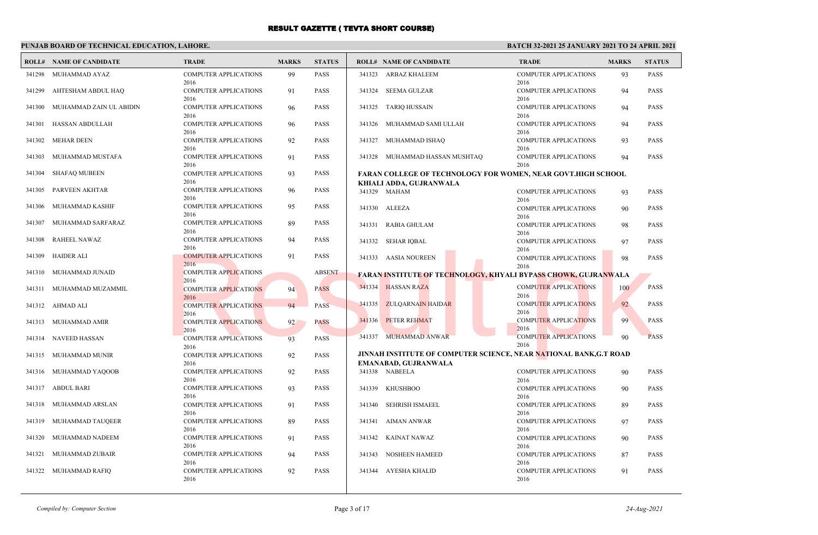### **PUNJAB BOARD OF TECHNICAL EDUCATION, LAHORE.**

|        | <b>ROLL# NAME OF CANDIDATE</b> | <b>TRADE</b>                         | <b>MARKS</b> | <b>STATUS</b> |        | <b>ROLL# NAME OF CANDIDATE</b>                                                                 | <b>TRADE</b>                         | <b>MARKS</b> | <b>STATUS</b> |
|--------|--------------------------------|--------------------------------------|--------------|---------------|--------|------------------------------------------------------------------------------------------------|--------------------------------------|--------------|---------------|
| 341298 | MUHAMMAD AYAZ                  | <b>COMPUTER APPLICATIONS</b><br>2016 | 99           | <b>PASS</b>   |        | 341323 ARBAZ KHALEEM                                                                           | <b>COMPUTER APPLICATIONS</b><br>2016 | 93           | <b>PASS</b>   |
| 341299 | AHTESHAM ABDUL HAQ             | <b>COMPUTER APPLICATIONS</b><br>2016 | 91           | <b>PASS</b>   |        | 341324 SEEMA GULZAR                                                                            | <b>COMPUTER APPLICATIONS</b><br>2016 | 94           | <b>PASS</b>   |
| 341300 | MUHAMMAD ZAIN UL ABIDIN        | <b>COMPUTER APPLICATIONS</b><br>2016 | 96           | <b>PASS</b>   |        | 341325 TARIO HUSSAIN                                                                           | <b>COMPUTER APPLICATIONS</b><br>2016 | 94           | <b>PASS</b>   |
| 341301 | HASSAN ABDULLAH                | <b>COMPUTER APPLICATIONS</b><br>2016 | 96           | <b>PASS</b>   |        | 341326 MUHAMMAD SAMI ULLAH                                                                     | <b>COMPUTER APPLICATIONS</b><br>2016 | 94           | <b>PASS</b>   |
| 341302 | <b>MEHAR DEEN</b>              | <b>COMPUTER APPLICATIONS</b><br>2016 | 92           | <b>PASS</b>   | 341327 | MUHAMMAD ISHAQ                                                                                 | <b>COMPUTER APPLICATIONS</b><br>2016 | 93           | <b>PASS</b>   |
| 341303 | MUHAMMAD MUSTAFA               | <b>COMPUTER APPLICATIONS</b><br>2016 | 91           | <b>PASS</b>   |        | 341328 MUHAMMAD HASSAN MUSHTAQ                                                                 | <b>COMPUTER APPLICATIONS</b><br>2016 | 94           | <b>PASS</b>   |
| 341304 | <b>SHAFAQ MUBEEN</b>           | <b>COMPUTER APPLICATIONS</b><br>2016 | 93           | <b>PASS</b>   |        | <b>FARAN COLLEGE OF TECHNOLOGY FOR WOMEN, NEAR GOVT.HIGH SCHOOL</b><br>KHIALI ADDA, GUJRANWALA |                                      |              |               |
| 341305 | PARVEEN AKHTAR                 | <b>COMPUTER APPLICATIONS</b><br>2016 | 96           | <b>PASS</b>   |        | 341329 MAHAM                                                                                   | <b>COMPUTER APPLICATIONS</b><br>2016 | 93           | <b>PASS</b>   |
| 341306 | MUHAMMAD KASHIF                | <b>COMPUTER APPLICATIONS</b><br>2016 | 95           | <b>PASS</b>   |        | 341330 ALEEZA                                                                                  | <b>COMPUTER APPLICATIONS</b><br>2016 | 90           | <b>PASS</b>   |
| 341307 | MUHAMMAD SARFARAZ              | <b>COMPUTER APPLICATIONS</b><br>2016 | 89           | <b>PASS</b>   |        | 341331 RABIA GHULAM                                                                            | <b>COMPUTER APPLICATIONS</b><br>2016 | 98           | <b>PASS</b>   |
| 341308 | <b>RAHEEL NAWAZ</b>            | <b>COMPUTER APPLICATIONS</b><br>2016 | 94           | <b>PASS</b>   |        | 341332 SEHAR IQBAL                                                                             | <b>COMPUTER APPLICATIONS</b><br>2016 | 97           | <b>PASS</b>   |
| 341309 | <b>HAIDER ALI</b>              | <b>COMPUTER APPLICATIONS</b><br>2016 | 91           | <b>PASS</b>   |        | 341333 AASIA NOUREEN                                                                           | <b>COMPUTER APPLICATIONS</b><br>2016 | 98           | <b>PASS</b>   |
| 341310 | MUHAMMAD JUNAID                | <b>COMPUTER APPLICATIONS</b><br>2016 |              | <b>ABSENT</b> |        | <b>FARAN INSTITUTE OF TECHNOLOGY, KHYALI BYPASS CHOWK, GUJRANWALA</b>                          |                                      |              |               |
| 341311 | MUHAMMAD MUZAMMIL              | <b>COMPUTER APPLICATIONS</b><br>2016 | 94           | <b>PASS</b>   |        | 341334 HASSAN RAZA                                                                             | <b>COMPUTER APPLICATIONS</b><br>2016 | 100          | <b>PASS</b>   |
|        | 341312 AHMAD ALI               | <b>COMPUTER APPLICATIONS</b><br>2016 | 94           | PASS          |        | 341335 ZULQARNAIN HAIDAR                                                                       | <b>COMPUTER APPLICATIONS</b><br>2016 | 92           | <b>PASS</b>   |
|        | 341313 MUHAMMAD AMIR           | <b>COMPUTER APPLICATIONS</b><br>2016 | 92           | <b>PASS</b>   |        | 341336 PETER REHMAT                                                                            | <b>COMPUTER APPLICATIONS</b><br>2016 | 99           | <b>PASS</b>   |
|        | 341314 NAVEED HASSAN           | <b>COMPUTER APPLICATIONS</b><br>2016 | 93           | <b>PASS</b>   |        | 341337 MUHAMMAD ANWAR                                                                          | <b>COMPUTER APPLICATIONS</b><br>2016 | 90           | <b>PASS</b>   |
| 341315 | MUHAMMAD MUNIR                 | <b>COMPUTER APPLICATIONS</b>         | 92           | <b>PASS</b>   |        | JINNAH INSTITUTE OF COMPUTER SCIENCE, NEAR NATIONAL BANK, G.T ROAD                             |                                      |              |               |
|        |                                | 2016                                 |              |               |        | EMANABAD, GUJRANWALA                                                                           |                                      |              |               |
|        | 341316 MUHAMMAD YAQOOB         | <b>COMPUTER APPLICATIONS</b><br>2016 | 92           | <b>PASS</b>   |        | 341338 NABEELA                                                                                 | <b>COMPUTER APPLICATIONS</b><br>2016 | 90           | <b>PASS</b>   |
| 341317 | <b>ABDUL BARI</b>              | <b>COMPUTER APPLICATIONS</b><br>2016 | 93           | <b>PASS</b>   | 341339 | KHUSHBOO                                                                                       | <b>COMPUTER APPLICATIONS</b><br>2016 | 90           | <b>PASS</b>   |
| 341318 | MUHAMMAD ARSLAN                | <b>COMPUTER APPLICATIONS</b><br>2016 | 91           | <b>PASS</b>   |        | 341340 SEHRISH ISMAEEL                                                                         | <b>COMPUTER APPLICATIONS</b><br>2016 | 89           | <b>PASS</b>   |
| 341319 | MUHAMMAD TAUQEER               | <b>COMPUTER APPLICATIONS</b><br>2016 | 89           | <b>PASS</b>   |        | 341341 AIMAN ANWAR                                                                             | <b>COMPUTER APPLICATIONS</b><br>2016 | 97           | <b>PASS</b>   |
|        | 341320 MUHAMMAD NADEEM         | <b>COMPUTER APPLICATIONS</b><br>2016 | 91           | <b>PASS</b>   |        | 341342 KAINAT NAWAZ                                                                            | <b>COMPUTER APPLICATIONS</b><br>2016 | 90           | <b>PASS</b>   |
|        | 341321 MUHAMMAD ZUBAIR         | <b>COMPUTER APPLICATIONS</b><br>2016 | 94           | <b>PASS</b>   |        | 341343 NOSHEEN HAMEED                                                                          | <b>COMPUTER APPLICATIONS</b><br>2016 | 87           | <b>PASS</b>   |
|        | 341322 MUHAMMAD RAFIQ          | <b>COMPUTER APPLICATIONS</b><br>2016 | 92           | <b>PASS</b>   |        | 341344 AYESHA KHALID                                                                           | <b>COMPUTER APPLICATIONS</b><br>2016 | 91           | <b>PASS</b>   |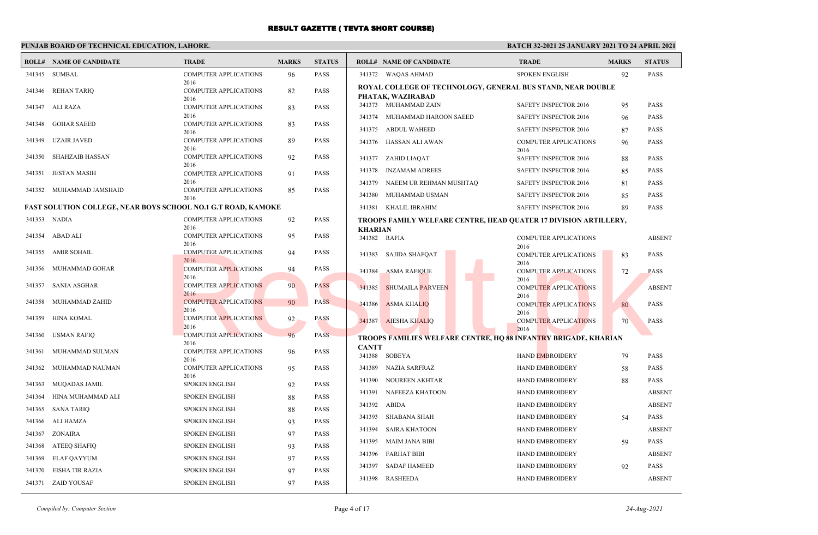### **PUNJAB BOARD OF TECHNICAL EDUCATION, LAHORE.**

#### **BATCH 32-2021 25 JANUARY 2021 TO 24 APRIL 2021**

| ROLL#        | <b>NAME OF CANDIDATE</b>                                             | <b>TRADE</b>                                 | <b>MARKS</b> | <b>STATUS</b> |                | <b>ROLL# NAME OF CANDIDATE</b>                                                   | <b>TRADE</b>                         | <b>MARKS</b> | <b>STATUS</b> |
|--------------|----------------------------------------------------------------------|----------------------------------------------|--------------|---------------|----------------|----------------------------------------------------------------------------------|--------------------------------------|--------------|---------------|
| 341345       | <b>SUMBAL</b>                                                        | <b>COMPUTER APPLICATIONS</b>                 | 96           | <b>PASS</b>   |                | 341372 WAQAS AHMAD                                                               | <b>SPOKEN ENGLISH</b>                | 92           | <b>PASS</b>   |
| 341346       | <b>REHAN TARIQ</b>                                                   | 2016<br><b>COMPUTER APPLICATIONS</b><br>2016 | 82           | <b>PASS</b>   |                | ROYAL COLLEGE OF TECHNOLOGY, GENERAL BUS STAND, NEAR DOUBLE<br>PHATAK, WAZIRABAD |                                      |              |               |
| 341347       | ALI RAZA                                                             | <b>COMPUTER APPLICATIONS</b>                 | 83           | <b>PASS</b>   |                | 341373 MUHAMMAD ZAIN                                                             | SAFETY INSPECTOR 2016                | 95           | <b>PASS</b>   |
| 341348       | <b>GOHAR SAEED</b>                                                   | 2016<br><b>COMPUTER APPLICATIONS</b>         | 83           | <b>PASS</b>   | 341374         | MUHAMMAD HAROON SAEED                                                            | <b>SAFETY INSPECTOR 2016</b>         | 96           | <b>PASS</b>   |
|              |                                                                      | 2016                                         |              |               | 341375         | ABDUL WAHEED                                                                     | SAFETY INSPECTOR 2016                | 87           | <b>PASS</b>   |
| 341349       | <b>UZAIR JAVED</b>                                                   | <b>COMPUTER APPLICATIONS</b><br>2016         | 89           | <b>PASS</b>   |                | 341376 HASSAN ALI AWAN                                                           | <b>COMPUTER APPLICATIONS</b>         | 96           | <b>PASS</b>   |
| 341350       | <b>SHAHZAIB HASSAN</b>                                               | <b>COMPUTER APPLICATIONS</b>                 | 92           | <b>PASS</b>   | 341377         | ZAHID LIAQAT                                                                     | 2016<br>SAFETY INSPECTOR 2016        | 88           | <b>PASS</b>   |
| 341351       | <b>JESTAN MASIH</b>                                                  | 2016<br><b>COMPUTER APPLICATIONS</b>         | 91           | <b>PASS</b>   | 341378         | <b>INZAMAM ADREES</b>                                                            | <b>SAFETY INSPECTOR 2016</b>         | 85           | <b>PASS</b>   |
|              |                                                                      | 2016                                         |              |               |                | 341379 NAEEM UR REHMAN MUSHTAQ                                                   | SAFETY INSPECTOR 2016                | 81           | <b>PASS</b>   |
|              | 341352 MUHAMMAD JAMSHAID                                             | <b>COMPUTER APPLICATIONS</b><br>2016         | 85           | <b>PASS</b>   |                | 341380 MUHAMMAD USMAN                                                            | SAFETY INSPECTOR 2016                | 85           | <b>PASS</b>   |
|              | <b>FAST SOLUTION COLLEGE, NEAR BOYS SCHOOL NO.1 G.T ROAD, KAMOKE</b> |                                              |              |               |                | 341381 KHALIL IBRAHIM                                                            | SAFETY INSPECTOR 2016                | 89           | <b>PASS</b>   |
| 341353 NADIA |                                                                      | <b>COMPUTER APPLICATIONS</b>                 | 92           | <b>PASS</b>   |                | TROOPS FAMILY WELFARE CENTRE, HEAD QUATER 17 DIVISION ARTILLERY,                 |                                      |              |               |
| 341354       | ABAD ALI                                                             | 2016<br><b>COMPUTER APPLICATIONS</b>         | 95           | <b>PASS</b>   | <b>KHARIAN</b> |                                                                                  |                                      |              |               |
|              |                                                                      | 2016                                         |              |               | 341382 RAFIA   |                                                                                  | <b>COMPUTER APPLICATIONS</b><br>2016 |              | <b>ABSENT</b> |
| 341355       | AMIR SOHAIL                                                          | <b>COMPUTER APPLICATIONS</b><br>2016         | 94           | <b>PASS</b>   | 341383         | <b>SAJIDA SHAFQAT</b>                                                            | <b>COMPUTER APPLICATIONS</b>         | 83           | <b>PASS</b>   |
| 341356       | MUHAMMAD GOHAR                                                       | <b>COMPUTER APPLICATIONS</b>                 | 94           | <b>PASS</b>   | 341384         | <b>ASMA RAFIQUE</b>                                                              | 2016<br><b>COMPUTER APPLICATIONS</b> | 72           | <b>PASS</b>   |
| 341357       | <b>SANIA ASGHAR</b>                                                  | 2016<br><b>COMPUTER APPLICATIONS</b>         | 90           | <b>PASS</b>   | 341385         | <b>SHUMAILA PARVEEN</b>                                                          | 2016<br><b>COMPUTER APPLICATIONS</b> |              | <b>ABSENT</b> |
|              |                                                                      | 2016                                         |              |               |                |                                                                                  | 2016                                 |              |               |
| 341358       | MUHAMMAD ZAHID                                                       | <b>COMPUTER APPLICATIONS</b><br>2016         | 90           | <b>PASS</b>   | 341386         | <b>ASMA KHALIQ</b>                                                               | <b>COMPUTER APPLICATIONS</b><br>2016 | 80           | <b>PASS</b>   |
| 341359       | <b>HINA KOMAL</b>                                                    | <b>COMPUTER APPLICATIONS</b>                 | 92           | <b>PASS</b>   | 341387         | <b>AIESHA KHALIQ</b>                                                             | <b>COMPUTER APPLICATIONS</b>         | 70           | <b>PASS</b>   |
| 341360       | <b>USMAN RAFIQ</b>                                                   | 2016<br><b>COMPUTER APPLICATIONS</b>         | 96           | <b>PASS</b>   |                |                                                                                  | 2016                                 |              |               |
|              |                                                                      | 2016                                         |              |               | <b>CANTT</b>   | <b>TROOPS FAMILIES WELFARE CENTRE, HQ 88 INFANTRY BRIGADE, KHARIAN</b>           |                                      |              |               |
| 341361       | MUHAMMAD SULMAN                                                      | <b>COMPUTER APPLICATIONS</b><br>2016         | 96           | <b>PASS</b>   |                | 341388 SOBEYA                                                                    | <b>HAND EMBROIDERY</b>               | 79           | <b>PASS</b>   |
| 341362       | MUHAMMAD NAUMAN                                                      | <b>COMPUTER APPLICATIONS</b>                 | 95           | <b>PASS</b>   |                | 341389 NAZIA SARFRAZ                                                             | <b>HAND EMBROIDERY</b>               | 58           | <b>PASS</b>   |
| 341363       | MUQADAS JAMIL                                                        | 2016<br><b>SPOKEN ENGLISH</b>                | 92           | <b>PASS</b>   | 341390         | NOUREEN AKHTAR                                                                   | HAND EMBROIDERY                      | 88           | <b>PASS</b>   |
| 341364       | HINA MUHAMMAD ALI                                                    | <b>SPOKEN ENGLISH</b>                        | 88           | <b>PASS</b>   | 341391         | NAFEEZA KHATOON                                                                  | <b>HAND EMBROIDERY</b>               |              | <b>ABSENT</b> |
| 341365       | <b>SANA TARIQ</b>                                                    | <b>SPOKEN ENGLISH</b>                        | 88           | <b>PASS</b>   | 341392         | ABIDA                                                                            | <b>HAND EMBROIDERY</b>               |              | <b>ABSENT</b> |
| 341366       | ALI HAMZA                                                            | <b>SPOKEN ENGLISH</b>                        | 93           | <b>PASS</b>   | 341393         | SHABANA SHAH                                                                     | HAND EMBROIDERY                      | 54           | <b>PASS</b>   |
| 341367       | ZONAIRA                                                              | <b>SPOKEN ENGLISH</b>                        | 97           | <b>PASS</b>   | 341394         | <b>SAIRA KHATOON</b>                                                             | <b>HAND EMBROIDERY</b>               |              | <b>ABSENT</b> |
| 341368       | ATEEQ SHAFIQ                                                         | <b>SPOKEN ENGLISH</b>                        | 93           | <b>PASS</b>   | 341395         | MAIM JANA BIBI                                                                   | <b>HAND EMBROIDERY</b>               | 59           | <b>PASS</b>   |
| 341369       | <b>ELAF QAYYUM</b>                                                   | <b>SPOKEN ENGLISH</b>                        | 97           | <b>PASS</b>   | 341396         | <b>FARHAT BIBI</b>                                                               | HAND EMBROIDERY                      |              | <b>ABSENT</b> |
| 341370       | EISHA TIR RAZIA                                                      | <b>SPOKEN ENGLISH</b>                        | 97           | <b>PASS</b>   | 341397         | <b>SADAF HAMEED</b>                                                              | <b>HAND EMBROIDERY</b>               | 92           | <b>PASS</b>   |
|              | 341371 ZAID YOUSAF                                                   | <b>SPOKEN ENGLISH</b>                        | 97           | <b>PASS</b>   |                | 341398 RASHEEDA                                                                  | <b>HAND EMBROIDERY</b>               |              | <b>ABSENT</b> |
|              |                                                                      |                                              |              |               |                |                                                                                  |                                      |              |               |

*Compiled by: Computer Section* Page 4 of 17 *24-Aug-2021*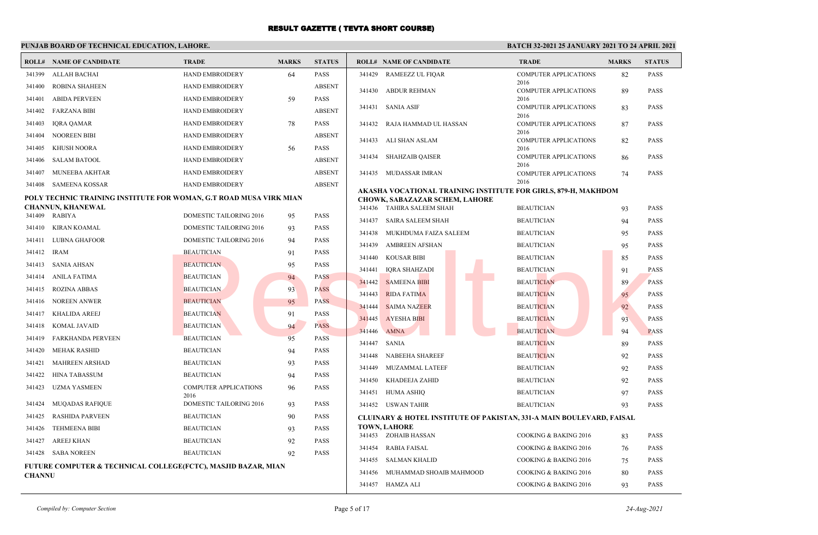### **PUNJAB BOARD OF TECHNICAL EDUCATION, LAHORE.**

|               | <b>ROLL# NAME OF CANDIDATE</b>                                           | <b>TRADE</b>                           | <b>MARKS</b> | <b>STATUS</b>              |                  | <b>ROLL# NAME OF CANDIDATE</b>                                                                          | <b>TRADE</b>                                              | <b>MARKS</b> | <b>STATUS</b>              |
|---------------|--------------------------------------------------------------------------|----------------------------------------|--------------|----------------------------|------------------|---------------------------------------------------------------------------------------------------------|-----------------------------------------------------------|--------------|----------------------------|
| 341399        | ALLAH BACHAI                                                             | <b>HAND EMBROIDERY</b>                 | 64           | <b>PASS</b>                | 341429           | <b>RAMEEZZ UL FIQAR</b>                                                                                 | <b>COMPUTER APPLICATIONS</b>                              | 82           | <b>PASS</b>                |
| 341400        | <b>ROBINA SHAHEEN</b>                                                    | <b>HAND EMBROIDERY</b>                 |              | <b>ABSENT</b>              | 341430           | <b>ABDUR REHMAN</b>                                                                                     | 2016<br><b>COMPUTER APPLICATIONS</b>                      | 89           | <b>PASS</b>                |
| 341401        | <b>ABIDA PERVEEN</b>                                                     | <b>HAND EMBROIDERY</b>                 | 59           | <b>PASS</b>                |                  |                                                                                                         | 2016                                                      |              |                            |
|               | 341402 FARZANA BIBI                                                      | <b>HAND EMBROIDERY</b>                 |              | <b>ABSENT</b>              |                  | 341431 SANIA ASIF                                                                                       | <b>COMPUTER APPLICATIONS</b><br>2016                      | 83           | <b>PASS</b>                |
| 341403        | IQRA QAMAR                                                               | <b>HAND EMBROIDERY</b>                 | 78           | <b>PASS</b>                | 341432           | RAJA HAMMAD UL HASSAN                                                                                   | <b>COMPUTER APPLICATIONS</b>                              | 87           | <b>PASS</b>                |
| 341404        | <b>NOOREEN BIBI</b>                                                      | <b>HAND EMBROIDERY</b>                 |              | <b>ABSENT</b>              | 341433           | ALI SHAN ASLAM                                                                                          | 2016<br><b>COMPUTER APPLICATIONS</b>                      | 82           | <b>PASS</b>                |
| 341405        | KHUSH NOORA                                                              | <b>HAND EMBROIDERY</b>                 | 56           | <b>PASS</b>                |                  |                                                                                                         | 2016                                                      |              |                            |
| 341406        | <b>SALAM BATOOL</b>                                                      | HAND EMBROIDERY                        |              | <b>ABSENT</b>              | 341434           | <b>SHAHZAIB QAISER</b>                                                                                  | <b>COMPUTER APPLICATIONS</b><br>2016                      | 86           | <b>PASS</b>                |
| 341407        | MUNEEBA AKHTAR                                                           | <b>HAND EMBROIDERY</b>                 |              | <b>ABSENT</b>              | 341435           | <b>MUDASSAR IMRAN</b>                                                                                   | <b>COMPUTER APPLICATIONS</b>                              | 74           | <b>PASS</b>                |
| 341408        | SAMEENA KOSSAR                                                           | <b>HAND EMBROIDERY</b>                 |              | <b>ABSENT</b>              |                  |                                                                                                         | 2016                                                      |              |                            |
|               | POLY TECHNIC TRAINING INSTITUTE FOR WOMAN, G.T ROAD MUSA VIRK MIAN       |                                        |              |                            |                  | AKASHA VOCATIONAL TRAINING INSTITUTE FOR GIRLS, 879-H, MAKHDOM<br><b>CHOWK, SABAZAZAR SCHEM, LAHORE</b> |                                                           |              |                            |
|               | <b>CHANNUN, KHANEWAL</b>                                                 |                                        |              |                            | 341436           | <b>TAHIRA SALEEM SHAH</b>                                                                               | <b>BEAUTICIAN</b>                                         | 93           | <b>PASS</b>                |
| 341409        | RABIYA                                                                   | DOMESTIC TAILORING 2016                | 95           | <b>PASS</b>                | 341437           | <b>SAIRA SALEEM SHAH</b>                                                                                | <b>BEAUTICIAN</b>                                         | 94           | <b>PASS</b>                |
|               | 341410 KIRAN KOAMAL<br>341411 LUBNA GHAFOOR                              | <b>DOMESTIC TAILORING 2016</b>         | 93           | <b>PASS</b><br><b>PASS</b> | 341438           | MUKHDUMA FAIZA SALEEM                                                                                   | <b>BEAUTICIAN</b>                                         | 95           | <b>PASS</b>                |
|               |                                                                          | DOMESTIC TAILORING 2016                | 94           |                            | 341439           | <b>AMBREEN AFSHAN</b>                                                                                   | <b>BEAUTICIAN</b>                                         | 95           | <b>PASS</b>                |
| 341412 IRAM   |                                                                          | <b>BEAUTICIAN</b>                      | 91           | <b>PASS</b>                | 341440           | <b>KOUSAR BIBI</b>                                                                                      | <b>BEAUTICIAN</b>                                         | 85           | <b>PASS</b>                |
|               | 341413 SANIA AHSAN                                                       | <b>BEAUTICIAN</b><br><b>BEAUTICIAN</b> | 95           | <b>PASS</b><br><b>PASS</b> | 341441           | <b>IQRA SHAHZADI</b>                                                                                    | <b>BEAUTICIAN</b>                                         | 91           | <b>PASS</b>                |
|               | 341414 ANILA FATIMA                                                      |                                        | 94           |                            | 341442           | <b>SAMEENA BIBI</b>                                                                                     | <b>BEAUTICIAN</b>                                         | 89           | <b>PASS</b>                |
|               | 341415 ROZINA ABBAS<br>NOREEN ANWER                                      | <b>BEAUTICIAN</b>                      | 93           | <b>PASS</b>                | 341443           | <b>RIDA FATIMA</b>                                                                                      | <b>BEAUTICIAN</b>                                         | 95           | <b>PASS</b>                |
| 341416        |                                                                          | <b>BEAUTICIAN</b>                      | 95           | <b>PASS</b>                | 341444           | <b>SAIMA NAZEER</b>                                                                                     | <b>BEAUTICIAN</b>                                         | 92           | <b>PASS</b>                |
| 341417        | KHALIDA AREEJ                                                            | <b>BEAUTICIAN</b>                      | 91           | <b>PASS</b><br><b>PASS</b> | 341445           | <b>AYESHA BIBI</b>                                                                                      | <b>BEAUTICIAN</b>                                         | 93           | <b>PASS</b>                |
| 341418        | KOMAL JAVAID                                                             | <b>BEAUTICIAN</b>                      | 94           |                            | 341446           | <b>AMNA</b>                                                                                             | <b>BEAUTICIAN</b>                                         | 94           | <b>PASS</b>                |
| 341419        | FARKHANDA PERVEEN                                                        | <b>BEAUTICIAN</b>                      | 95           | <b>PASS</b>                | 341447           | <b>SANIA</b>                                                                                            | <b>BEAUTICIAN</b>                                         | 89           | <b>PASS</b>                |
| 341420        | MEHAK RASHID                                                             | <b>BEAUTICIAN</b>                      | 94           | <b>PASS</b>                | 341448           | <b>NABEEHA SHAREEF</b>                                                                                  | <b>BEAUTICIAN</b>                                         | 92           | <b>PASS</b>                |
| 341421        | <b>MAHREEN ARSHAD</b>                                                    | <b>BEAUTICIAN</b>                      | 93           | <b>PASS</b>                | 341449           | MUZAMMAL LATEEF                                                                                         | <b>BEAUTICIAN</b>                                         | 92           | <b>PASS</b>                |
| 341422        | <b>HINA TABASSUM</b>                                                     | <b>BEAUTICIAN</b>                      | 94           | <b>PASS</b>                | 341450           | KHADEEJA ZAHID                                                                                          | <b>BEAUTICIAN</b>                                         | 92           | <b>PASS</b>                |
|               | 341423 UZMA YASMEEN                                                      | <b>COMPUTER APPLICATIONS</b><br>2016   | 96           | <b>PASS</b>                | 341451           | <b>HUMA ASHIQ</b>                                                                                       | <b>BEAUTICIAN</b>                                         | 97           | <b>PASS</b>                |
| 341424        | <b>MUQADAS RAFIQUE</b>                                                   | DOMESTIC TAILORING 2016                | 93           | <b>PASS</b>                |                  | 341452 USWAN TAHIR                                                                                      | <b>BEAUTICIAN</b>                                         | 93           | <b>PASS</b>                |
| 341425        | <b>RASHIDA PARVEEN</b>                                                   | <b>BEAUTICIAN</b>                      | 90           | <b>PASS</b>                |                  | <b>CLUINARY &amp; HOTEL INSTITUTE OF PAKISTAN, 331-A MAIN BOULEVARD, FAISAL</b>                         |                                                           |              |                            |
| 341426        | <b>TEHMEENA BIBI</b>                                                     | <b>BEAUTICIAN</b>                      | 93           | <b>PASS</b>                |                  | <b>TOWN, LAHORE</b><br>341453 ZOHAIB HASSAN                                                             | COOKING & BAKING 2016                                     |              | <b>PASS</b>                |
| 341427        | AREEJ KHAN                                                               | <b>BEAUTICIAN</b>                      | 92           | <b>PASS</b>                |                  |                                                                                                         |                                                           | 83           |                            |
|               | 341428 SABA NOREEN                                                       | <b>BEAUTICIAN</b>                      | 92           | <b>PASS</b>                | 341454<br>341455 | <b>RABIA FAISAL</b><br><b>SALMAN KHALID</b>                                                             | COOKING & BAKING 2016<br><b>COOKING &amp; BAKING 2016</b> | 76           | <b>PASS</b><br><b>PASS</b> |
|               | <b>FUTURE COMPUTER &amp; TECHNICAL COLLEGE(FCTC), MASJID BAZAR, MIAN</b> |                                        |              |                            | 341456           | MUHAMMAD SHOAIB MAHMOOD                                                                                 | <b>COOKING &amp; BAKING 2016</b>                          | 75           | <b>PASS</b>                |
| <b>CHANNU</b> |                                                                          |                                        |              |                            |                  | 341457 HAMZA ALI                                                                                        | COOKING & BAKING 2016                                     | 80<br>93     | <b>PASS</b>                |
|               |                                                                          |                                        |              |                            |                  |                                                                                                         |                                                           |              |                            |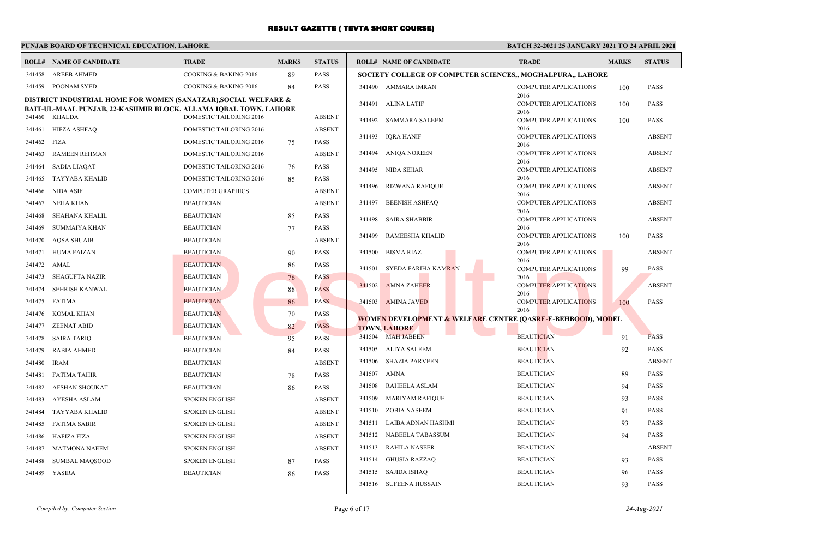# **PUNJAB BOARD OF TECHNICAL EDUCATION, LAHORE.**

| <b>ROLL#</b> | <b>NAME OF CANDIDATE</b>                                                                                                            | <b>TRADE</b>                   | <b>MARKS</b> | <b>STATUS</b> |        | <b>ROLL# NAME OF CANDIDATE</b>                                         | <b>TRADE</b>                                 | <b>MARKS</b> | <b>STATUS</b> |
|--------------|-------------------------------------------------------------------------------------------------------------------------------------|--------------------------------|--------------|---------------|--------|------------------------------------------------------------------------|----------------------------------------------|--------------|---------------|
| 341458       | <b>AREEB AHMED</b>                                                                                                                  | COOKING & BAKING 2016          | 89           | <b>PASS</b>   |        | SOCIETY COLLEGE OF COMPUTER SCIENCES,, MOGHALPURA,, LAHORE             |                                              |              |               |
| 341459       | POONAM SYED                                                                                                                         | COOKING & BAKING 2016          | 84           | <b>PASS</b>   |        | 341490 AMMARA IMRAN                                                    | <b>COMPUTER APPLICATIONS</b>                 | 100          | <b>PASS</b>   |
|              | DISTRICT INDUSTRIAL HOME FOR WOMEN (SANATZAR), SOCIAL WELFARE &<br>BAIT-UL-MAAL PUNJAB, 22-KASHMIR BLOCK, ALLAMA IQBAL TOWN, LAHORE |                                |              |               |        | 341491 ALINA LATIF                                                     | 2016<br><b>COMPUTER APPLICATIONS</b><br>2016 | 100          | <b>PASS</b>   |
| 341460       | <b>KHALDA</b>                                                                                                                       | DOMESTIC TAILORING 2016        |              | <b>ABSENT</b> |        | 341492 SAMMARA SALEEM                                                  | <b>COMPUTER APPLICATIONS</b>                 | 100          | <b>PASS</b>   |
| 341461       | HIFZA ASHFAQ                                                                                                                        | DOMESTIC TAILORING 2016        |              | <b>ABSENT</b> |        | 341493 IQRA HANIF                                                      | 2016<br><b>COMPUTER APPLICATIONS</b>         |              | <b>ABSENT</b> |
| 341462       | FIZA                                                                                                                                | DOMESTIC TAILORING 2016        | 75           | <b>PASS</b>   |        |                                                                        | 2016                                         |              |               |
| 341463       | <b>RAMEEN REHMAN</b>                                                                                                                | <b>DOMESTIC TAILORING 2016</b> |              | <b>ABSENT</b> |        | 341494 ANIQA NOREEN                                                    | COMPUTER APPLICATIONS<br>2016                |              | <b>ABSENT</b> |
| 341464       | <b>SADIA LIAQAT</b>                                                                                                                 | DOMESTIC TAILORING 2016        | 76           | <b>PASS</b>   |        | 341495 NIDA SEHAR                                                      | <b>COMPUTER APPLICATIONS</b>                 |              | <b>ABSENT</b> |
| 341465       | TAYYABA KHALID                                                                                                                      | DOMESTIC TAILORING 2016        | 85           | <b>PASS</b>   | 341496 | RIZWANA RAFIQUE                                                        | 2016<br><b>COMPUTER APPLICATIONS</b>         |              | <b>ABSENT</b> |
| 341466       | NIDA ASIF                                                                                                                           | <b>COMPUTER GRAPHICS</b>       |              | <b>ABSENT</b> |        |                                                                        | 2016                                         |              |               |
| 341467       | NEHA KHAN                                                                                                                           | <b>BEAUTICIAN</b>              |              | <b>ABSENT</b> |        | 341497 BEENISH ASHFAQ                                                  | <b>COMPUTER APPLICATIONS</b><br>2016         |              | <b>ABSENT</b> |
| 341468       | SHAHANA KHALIL                                                                                                                      | <b>BEAUTICIAN</b>              | 85           | <b>PASS</b>   | 341498 | <b>SAIRA SHABBIR</b>                                                   | <b>COMPUTER APPLICATIONS</b>                 |              | <b>ABSENT</b> |
| 341469       | SUMMAIYA KHAN                                                                                                                       | <b>BEAUTICIAN</b>              | 77           | <b>PASS</b>   | 341499 | <b>RAMEESHA KHALID</b>                                                 | 2016<br><b>COMPUTER APPLICATIONS</b>         |              | <b>PASS</b>   |
| 341470       | <b>AQSA SHUAIB</b>                                                                                                                  | <b>BEAUTICIAN</b>              |              | <b>ABSENT</b> |        |                                                                        | 2016                                         | 100          |               |
| 341471       | <b>HUMA FAIZAN</b>                                                                                                                  | <b>BEAUTICIAN</b>              | 90           | <b>PASS</b>   | 341500 | BISMA RIAZ                                                             | <b>COMPUTER APPLICATIONS</b>                 |              | <b>ABSENT</b> |
| 341472       | AMAL                                                                                                                                | <b>BEAUTICIAN</b>              | 86           | <b>PASS</b>   | 341501 | SYEDA FARIHA KAMRAN                                                    | 2016<br><b>COMPUTER APPLICATIONS</b>         | 99           | <b>PASS</b>   |
| 341473       | SHAGUFTA NAZIR                                                                                                                      | <b>BEAUTICIAN</b>              | 76           | <b>PASS</b>   |        |                                                                        | 2016                                         |              |               |
| 341474       | <b>SEHRISH KANWAL</b>                                                                                                               | <b>BEAUTICIAN</b>              | 88           | <b>PASS</b>   | 341502 | <b>AMNA ZAHEER</b>                                                     | <b>COMPUTER APPLICATIONS</b><br>2016         |              | <b>ABSENT</b> |
| 341475       | <b>FATIMA</b>                                                                                                                       | <b>BEAUTICIAN</b>              | 86           | <b>PASS</b>   |        | 341503 AMINA JAVED                                                     | <b>COMPUTER APPLICATIONS</b>                 | 100          | <b>PASS</b>   |
| 341476       | KOMAL KHAN                                                                                                                          | <b>BEAUTICIAN</b>              | 70           | <b>PASS</b>   |        | <b>WOMEN DEVELOPMENT &amp; WELFARE CENTRE (QASRE-E-BEHBOOD), MODEL</b> | 2016                                         |              |               |
| 341477       | ZEENAT ABID                                                                                                                         | <b>BEAUTICIAN</b>              | 82           | <b>PASS</b>   |        | <b>TOWN, LAHORE</b>                                                    |                                              |              |               |
| 341478       | <b>SAIRA TARIQ</b>                                                                                                                  | <b>BEAUTICIAN</b>              | 95           | <b>PASS</b>   |        | 341504 MAH JABEEN                                                      | <b>BEAUTICIAN</b>                            | 91           | <b>PASS</b>   |
| 341479       | <b>RABIA AHMED</b>                                                                                                                  | <b>BEAUTICIAN</b>              | 84           | <b>PASS</b>   |        | 341505 ALIYA SALEEM                                                    | <b>BEAUTICIAN</b>                            | 92           | <b>PASS</b>   |
| 341480       | <b>IRAM</b>                                                                                                                         | <b>BEAUTICIAN</b>              |              | <b>ABSENT</b> | 341506 | <b>SHAZIA PARVEEN</b>                                                  | <b>BEAUTICIAN</b>                            |              | <b>ABSENT</b> |
| 341481       | FATIMA TAHIR                                                                                                                        | <b>BEAUTICIAN</b>              | 78           | <b>PASS</b>   | 341507 | AMNA                                                                   | <b>BEAUTICIAN</b>                            | 89           | <b>PASS</b>   |
| 341482       | AFSHAN SHOUKAT                                                                                                                      | <b>BEAUTICIAN</b>              | 86           | <b>PASS</b>   | 341508 | RAHEELA ASLAM                                                          | <b>BEAUTICIAN</b>                            | 94           | <b>PASS</b>   |
| 341483       | AYESHA ASLAM                                                                                                                        | <b>SPOKEN ENGLISH</b>          |              | <b>ABSENT</b> | 341509 | <b>MARIYAM RAFIQUE</b>                                                 | <b>BEAUTICIAN</b>                            | 93           | <b>PASS</b>   |
| 341484       | <b>TAYYABA KHALID</b>                                                                                                               | <b>SPOKEN ENGLISH</b>          |              | <b>ABSENT</b> | 341510 | ZOBIA NASEEM                                                           | <b>BEAUTICIAN</b>                            | 91           | <b>PASS</b>   |
| 341485       | <b>FATIMA SABIR</b>                                                                                                                 | <b>SPOKEN ENGLISH</b>          |              | <b>ABSENT</b> | 341511 | LAIBA ADNAN HASHMI                                                     | <b>BEAUTICIAN</b>                            | 93           | <b>PASS</b>   |
| 341486       | HAFIZA FIZA                                                                                                                         | <b>SPOKEN ENGLISH</b>          |              | <b>ABSENT</b> |        | 341512 NABEELA TABASSUM                                                | <b>BEAUTICIAN</b>                            | 94           | <b>PASS</b>   |
| 341487       | <b>MATMONA NAEEM</b>                                                                                                                | <b>SPOKEN ENGLISH</b>          |              | <b>ABSENT</b> |        | 341513 RAHILA NASEER                                                   | <b>BEAUTICIAN</b>                            |              | <b>ABSENT</b> |
| 341488       | <b>SUMBAL MAQSOOD</b>                                                                                                               | <b>SPOKEN ENGLISH</b>          | 87           | <b>PASS</b>   | 341514 | <b>GHUSIA RAZZAQ</b>                                                   | <b>BEAUTICIAN</b>                            | 93           | <b>PASS</b>   |
| 341489       | YASIRA                                                                                                                              | <b>BEAUTICIAN</b>              | 86           | <b>PASS</b>   |        | 341515 SAJIDA ISHAQ                                                    | <b>BEAUTICIAN</b>                            | 96           | <b>PASS</b>   |
|              |                                                                                                                                     |                                |              |               |        | 341516 SUFEENA HUSSAIN                                                 | <b>BEAUTICIAN</b>                            | 93           | <b>PASS</b>   |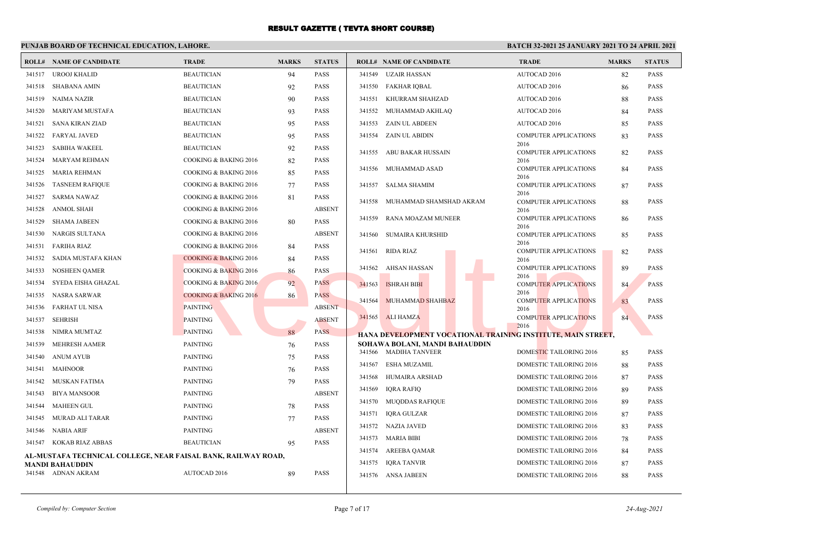### **PUNJAB BOARD OF TECHNICAL EDUCATION, LAHORE.**

|        | <b>ROLL# NAME OF CANDIDATE</b>                                | <b>TRADE</b>                     | <b>MARKS</b> | <b>STATUS</b> |        | <b>ROLL# NAME OF CANDIDATE</b> | <b>TRADE</b>                                                 | <b>MARKS</b> | <b>STATUS</b> |
|--------|---------------------------------------------------------------|----------------------------------|--------------|---------------|--------|--------------------------------|--------------------------------------------------------------|--------------|---------------|
|        | 341517 UROOJ KHALID                                           | <b>BEAUTICIAN</b>                | 94           | PASS          | 341549 | UZAIR HASSAN                   | AUTOCAD 2016                                                 | 82           | <b>PASS</b>   |
|        | 341518 SHABANA AMIN                                           | <b>BEAUTICIAN</b>                | 92           | <b>PASS</b>   |        | 341550 FAKHAR IOBAL            | AUTOCAD 2016                                                 | 86           | <b>PASS</b>   |
| 341519 | <b>NAIMA NAZIR</b>                                            | <b>BEAUTICIAN</b>                | 90           | PASS          | 341551 | KHURRAM SHAHZAD                | AUTOCAD 2016                                                 | 88           | <b>PASS</b>   |
| 341520 | <b>MARIYAM MUSTAFA</b>                                        | <b>BEAUTICIAN</b>                | 93           | PASS          | 341552 | MUHAMMAD AKHLAQ                | AUTOCAD 2016                                                 | 84           | <b>PASS</b>   |
| 341521 | SANA KIRAN ZIAD                                               | <b>BEAUTICIAN</b>                | 95           | PASS          | 341553 | ZAIN UL ABDEEN                 | AUTOCAD 2016                                                 | 85           | <b>PASS</b>   |
| 341522 | <b>FARYAL JAVED</b>                                           | <b>BEAUTICIAN</b>                | 95           | PASS          |        | 341554 ZAIN UL ABIDIN          | <b>COMPUTER APPLICATIONS</b>                                 | 83           | <b>PASS</b>   |
| 341523 | SABIHA WAKEEL                                                 | <b>BEAUTICIAN</b>                | 92           | PASS          |        | 341555 ABU BAKAR HUSSAIN       | 2016<br><b>COMPUTER APPLICATIONS</b>                         | 82           | <b>PASS</b>   |
| 341524 | <b>MARYAM REHMAN</b>                                          | COOKING & BAKING 2016            | 82           | PASS          |        |                                | 2016                                                         |              |               |
| 341525 | <b>MARIA REHMAN</b>                                           | COOKING & BAKING 2016            | 85           | PASS          | 341556 | MUHAMMAD ASAD                  | <b>COMPUTER APPLICATIONS</b><br>2016                         | 84           | <b>PASS</b>   |
| 341526 | <b>TASNEEM RAFIQUE</b>                                        | <b>COOKING &amp; BAKING 2016</b> | 77           | <b>PASS</b>   | 341557 | SALMA SHAMIM                   | <b>COMPUTER APPLICATIONS</b>                                 | 87           | <b>PASS</b>   |
| 341527 | <b>SARMA NAWAZ</b>                                            | COOKING & BAKING 2016            | 81           | PASS          | 341558 | MUHAMMAD SHAMSHAD AKRAM        | 2016<br><b>COMPUTER APPLICATIONS</b>                         | 88           | <b>PASS</b>   |
| 341528 | <b>ANMOL SHAH</b>                                             | <b>COOKING &amp; BAKING 2016</b> |              | <b>ABSENT</b> |        |                                | 2016                                                         |              |               |
| 341529 | <b>SHAMA JABEEN</b>                                           | COOKING & BAKING 2016            | 80           | <b>PASS</b>   | 341559 | RANA MOAZAM MUNEER             | <b>COMPUTER APPLICATIONS</b><br>2016                         | 86           | <b>PASS</b>   |
| 341530 | NARGIS SULTANA                                                | COOKING & BAKING 2016            |              | <b>ABSENT</b> | 341560 | SUMAIRA KHURSHID               | <b>COMPUTER APPLICATIONS</b>                                 | 85           | <b>PASS</b>   |
| 341531 | <b>FARIHA RIAZ</b>                                            | COOKING & BAKING 2016            | 84           | <b>PASS</b>   | 341561 | RIDA RIAZ                      | 2016<br>COMPUTER APPLICATIONS                                | 82           | <b>PASS</b>   |
| 341532 | SADIA MUSTAFA KHAN                                            | <b>COOKING &amp; BAKING 2016</b> | 84           | PASS          |        |                                | 2016                                                         |              |               |
| 341533 | <b>NOSHEEN OAMER</b>                                          | <b>COOKING &amp; BAKING 2016</b> | 86           | PASS          |        | 341562 AHSAN HASSAN            | COMPUTER APPLICATIONS<br>2016                                | 89           | <b>PASS</b>   |
| 341534 | SYEDA EISHA GHAZAL                                            | <b>COOKING &amp; BAKING 2016</b> | 92           | PASS          | 341563 | <b>ISHRAH BIBI</b>             | <b>COMPUTER APPLICATIONS</b>                                 | 84           | <b>PASS</b>   |
| 341535 | NASRA SARWAR                                                  | COOKING & BAKING 2016            | 86           | <b>PASS</b>   | 341564 | MUHAMMAD SHAHBAZ               | 2016<br><b>COMPUTER APPLICATIONS</b>                         | 83           | <b>PASS</b>   |
| 341536 | FARHAT UL NISA                                                | <b>PAINTING</b>                  |              | <b>ABSENT</b> |        |                                | 2016                                                         |              |               |
| 341537 | <b>SEHRISH</b>                                                | <b>PAINTING</b>                  |              | <b>ABSENT</b> |        | 341565 ALI HAMZA               | <b>COMPUTER APPLICATIONS</b><br>2016                         | 84           | <b>PASS</b>   |
| 341538 | NIMRA MUMTAZ                                                  | <b>PAINTING</b>                  | 88           | PASS          |        |                                | HANA DEVELOPMENT VOCATIONAL TRAINING INSTITUTE, MAIN STREET, |              |               |
| 341539 | <b>MEHRESH AAMER</b>                                          | <b>PAINTING</b>                  | 76           | PASS          |        | SOHAWA BOLANI, MANDI BAHAUDDIN |                                                              |              |               |
| 341540 | <b>ANUM AYUB</b>                                              | <b>PAINTING</b>                  | 75           | PASS          |        | 341566 MADIHA TANVEER          | DOMESTIC TAILORING 2016                                      | 85           | <b>PASS</b>   |
| 341541 | <b>MAHNOOR</b>                                                | <b>PAINTING</b>                  | 76           | PASS          | 341567 | ESHA MUZAMIL                   | DOMESTIC TAILORING 2016                                      | 88           | <b>PASS</b>   |
| 341542 | MUSKAN FATIMA                                                 | <b>PAINTING</b>                  | 79           | PASS          | 341568 | HUMAIRA ARSHAD                 | DOMESTIC TAILORING 2016                                      | 87           | <b>PASS</b>   |
| 341543 | <b>BIYA MANSOOR</b>                                           | <b>PAINTING</b>                  |              | <b>ABSENT</b> | 341569 | IQRA RAFIQ                     | DOMESTIC TAILORING 2016                                      | 89           | <b>PASS</b>   |
| 341544 | <b>MAHEEN GUL</b>                                             | <b>PAINTING</b>                  | 78           | PASS          | 341570 | MUQDDAS RAFIQUE                | DOMESTIC TAILORING 2016                                      | 89           | <b>PASS</b>   |
| 341545 | MURAD ALI TARAR                                               | <b>PAINTING</b>                  | 77           | PASS          | 341571 | IQRA GULZAR                    | DOMESTIC TAILORING 2016                                      | 87           | <b>PASS</b>   |
| 341546 | <b>NABIA ARIF</b>                                             | <b>PAINTING</b>                  |              | <b>ABSENT</b> |        | 341572 NAZIA JAVED             | DOMESTIC TAILORING 2016                                      | 83           | <b>PASS</b>   |
|        | 341547 KOKAB RIAZ ABBAS                                       | <b>BEAUTICIAN</b>                | 95           | PASS          |        | 341573 MARIA BIBI              | DOMESTIC TAILORING 2016                                      | 78           | <b>PASS</b>   |
|        | AL-MUSTAFA TECHNICAL COLLEGE, NEAR FAISAL BANK, RAILWAY ROAD, |                                  |              |               |        | 341574 AREEBA QAMAR            | <b>DOMESTIC TAILORING 2016</b>                               | 84           | <b>PASS</b>   |
|        | MANDI BAHAUDDIN<br>341548 ADNAN AKRAM                         | AUTOCAD 2016                     | 89           | PASS          | 341575 | <b>IORA TANVIR</b>             | <b>DOMESTIC TAILORING 2016</b>                               | 87           | <b>PASS</b>   |
|        |                                                               |                                  |              |               |        | 341576 ANSA JABEEN             | <b>DOMESTIC TAILORING 2016</b>                               | 88           | <b>PASS</b>   |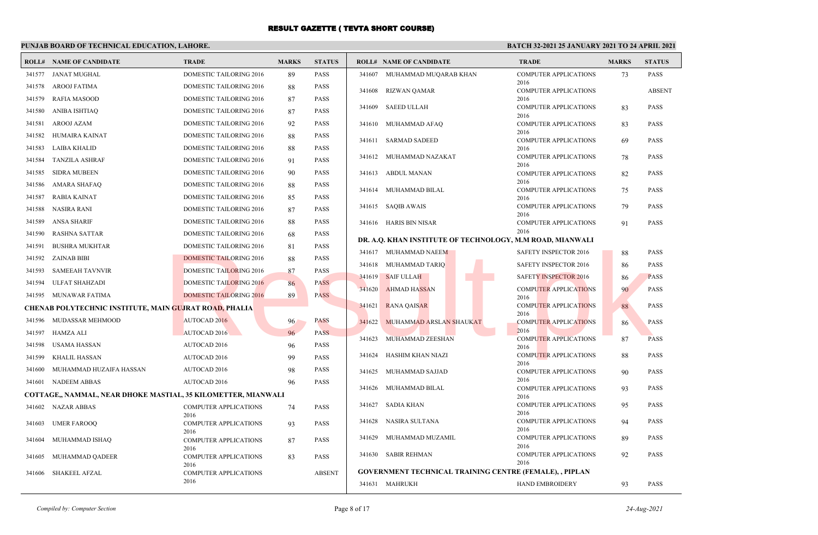### **PUNJAB BOARD OF TECHNICAL EDUCATION, LAHORE.**

#### **BATCH 32-2021 25 JANUARY 2021 TO 24 APRIL 2021**

|        | <b>ROLL# NAME OF CANDIDATE</b>                                | <b>TRADE</b>                         | <b>MARKS</b> | <b>STATUS</b> |        | <b>ROLL# NAME OF CANDIDATE</b>                                 | <b>TRADE</b>                         | <b>MARKS</b> | <b>STATUS</b> |
|--------|---------------------------------------------------------------|--------------------------------------|--------------|---------------|--------|----------------------------------------------------------------|--------------------------------------|--------------|---------------|
| 341577 | JANAT MUGHAL                                                  | DOMESTIC TAILORING 2016              | 89           | <b>PASS</b>   |        | 341607 MUHAMMAD MUQARAB KHAN                                   | <b>COMPUTER APPLICATIONS</b>         | 73           | <b>PASS</b>   |
| 341578 | AROOJ FATIMA                                                  | DOMESTIC TAILORING 2016              | 88           | <b>PASS</b>   | 341608 | <b>RIZWAN QAMAR</b>                                            | 2016<br><b>COMPUTER APPLICATIONS</b> |              | <b>ABSENT</b> |
| 341579 | <b>RAFIA MASOOD</b>                                           | DOMESTIC TAILORING 2016              | 87           | <b>PASS</b>   |        |                                                                | 2016                                 |              |               |
| 341580 | <b>ANIBA ISHTIAQ</b>                                          | DOMESTIC TAILORING 2016              | 87           | <b>PASS</b>   | 341609 | <b>SAEED ULLAH</b>                                             | <b>COMPUTER APPLICATIONS</b><br>2016 | 83           | <b>PASS</b>   |
| 341581 | AROOJ AZAM                                                    | DOMESTIC TAILORING 2016              | 92           | <b>PASS</b>   | 341610 | MUHAMMAD AFAQ                                                  | <b>COMPUTER APPLICATIONS</b>         | 83           | <b>PASS</b>   |
| 341582 | HUMAIRA KAINAT                                                | DOMESTIC TAILORING 2016              | 88           | PASS          | 341611 | <b>SARMAD SADEED</b>                                           | 2016<br><b>COMPUTER APPLICATIONS</b> | 69           | <b>PASS</b>   |
| 341583 | LAIBA KHALID                                                  | DOMESTIC TAILORING 2016              | 88           | <b>PASS</b>   |        |                                                                | 2016                                 |              |               |
| 341584 | <b>TANZILA ASHRAF</b>                                         | DOMESTIC TAILORING 2016              | 91           | <b>PASS</b>   |        | 341612 MUHAMMAD NAZAKAT                                        | <b>COMPUTER APPLICATIONS</b><br>2016 | 78           | <b>PASS</b>   |
| 341585 | <b>SIDRA MUBEEN</b>                                           | DOMESTIC TAILORING 2016              | 90           | <b>PASS</b>   |        | 341613 ABDUL MANAN                                             | <b>COMPUTER APPLICATIONS</b>         | 82           | <b>PASS</b>   |
| 341586 | AMARA SHAFAQ                                                  | DOMESTIC TAILORING 2016              | 88           | <b>PASS</b>   |        | 341614 MUHAMMAD BILAL                                          | 2016<br><b>COMPUTER APPLICATIONS</b> | 75           | <b>PASS</b>   |
| 341587 | RABIA KAINAT                                                  | DOMESTIC TAILORING 2016              | 85           | <b>PASS</b>   |        |                                                                | 2016                                 |              |               |
| 341588 | NASIRA RANI                                                   | DOMESTIC TAILORING 2016              | 87           | <b>PASS</b>   | 341615 | SAQIB AWAIS                                                    | <b>COMPUTER APPLICATIONS</b><br>2016 | 79           | <b>PASS</b>   |
| 341589 | ANSA SHARIF                                                   | DOMESTIC TAILORING 2016              | 88           | <b>PASS</b>   |        | 341616 HARIS BIN NISAR                                         | <b>COMPUTER APPLICATIONS</b>         | 91           | <b>PASS</b>   |
| 341590 | <b>RASHNA SATTAR</b>                                          | DOMESTIC TAILORING 2016              | 68           | PASS          |        |                                                                | 2016                                 |              |               |
| 341591 | <b>BUSHRA MUKHTAR</b>                                         | DOMESTIC TAILORING 2016              | 81           | PASS          |        | DR. A.Q. KHAN INSTITUTE OF TECHNOLOGY, M.M ROAD, MIANWALI      |                                      |              |               |
|        | 341592 ZAINAB BIBI                                            | <b>DOMESTIC TAILORING 2016</b>       | 88           | PASS          |        | 341617 MUHAMMAD NAEEM                                          | SAFETY INSPECTOR 2016                | 88           | <b>PASS</b>   |
| 341593 | SAMEEAH TAVNVIR                                               | <b>DOMESTIC TAILORING 2016</b>       | 87           | <b>PASS</b>   |        | 341618 MUHAMMAD TARIQ                                          | SAFETY INSPECTOR 2016                | 86           | <b>PASS</b>   |
| 341594 | <b>ULFAT SHAHZADI</b>                                         | <b>DOMESTIC TAILORING 2016</b>       | 86           | <b>PASS</b>   |        | 341619 SAIF ULLAH                                              | <b>SAFETY INSPECTOR 2016</b>         | 86           | <b>PASS</b>   |
|        | 341595 MUNAWAR FATIMA                                         | <b>DOMESTIC TAILORING 2016</b>       | 89           | <b>PASS</b>   | 341620 | <b>AHMAD HASSAN</b>                                            | <b>COMPUTER APPLICATIONS</b><br>2016 | 90           | <b>PASS</b>   |
|        | CHENAB POLYTECHNIC INSTITUTE, MAIN GUJRAT ROAD, PHALIA        |                                      |              |               | 341621 | <b>RANA QAISAR</b>                                             | <b>COMPUTER APPLICATIONS</b><br>2016 | 88           | <b>PASS</b>   |
|        | 341596 MUDASSAR MEHMOOD                                       | AUTOCAD 2016                         | 96           | <b>PASS</b>   | 341622 | MUHAMMAD ARSLAN SHAUKAT                                        | <b>COMPUTER APPLICATIONS</b>         | 86           | <b>PASS</b>   |
|        | 341597 HAMZA ALI                                              | AUTOCAD 2016                         | 96           | PASS          | 341623 | MUHAMMAD ZEESHAN                                               | 2016<br><b>COMPUTER APPLICATIONS</b> | 87           | <b>PASS</b>   |
| 341598 | USAMA HASSAN                                                  | AUTOCAD 2016                         | 96           | <b>PASS</b>   |        |                                                                | 2016                                 |              |               |
| 341599 | <b>KHALIL HASSAN</b>                                          | AUTOCAD 2016                         | 99           | PASS          | 341624 | HASHIM KHAN NIAZI                                              | <b>COMPUTER APPLICATIONS</b><br>2016 | 88           | <b>PASS</b>   |
| 341600 | MUHAMMAD HUZAIFA HASSAN                                       | AUTOCAD 2016                         | 98           | <b>PASS</b>   | 341625 | MUHAMMAD SAJJAD                                                | <b>COMPUTER APPLICATIONS</b>         | 90           | <b>PASS</b>   |
|        | 341601 NADEEM ABBAS                                           | AUTOCAD 2016                         | 96           | PASS          |        | 341626 MUHAMMAD BILAL                                          | 2016                                 |              | <b>PASS</b>   |
|        | COTTAGE,, NAMMAL, NEAR DHOKE MASTIAL, 35 KILOMETTER, MIANWALI |                                      |              |               |        |                                                                | <b>COMPUTER APPLICATIONS</b><br>2016 | 93           |               |
|        | 341602 NAZAR ABBAS                                            | <b>COMPUTER APPLICATIONS</b><br>2016 | 74           | <b>PASS</b>   | 341627 | SADIA KHAN                                                     | <b>COMPUTER APPLICATIONS</b><br>2016 | 95           | <b>PASS</b>   |
| 341603 | <b>UMER FAROOQ</b>                                            | <b>COMPUTER APPLICATIONS</b><br>2016 | 93           | <b>PASS</b>   | 341628 | NASIRA SULTANA                                                 | <b>COMPUTER APPLICATIONS</b><br>2016 | 94           | <b>PASS</b>   |
| 341604 | MUHAMMAD ISHAO                                                | <b>COMPUTER APPLICATIONS</b>         | 87           | <b>PASS</b>   | 341629 | MUHAMMAD MUZAMIL                                               | <b>COMPUTER APPLICATIONS</b><br>2016 | 89           | <b>PASS</b>   |
| 341605 | MUHAMMAD QADEER                                               | 2016<br><b>COMPUTER APPLICATIONS</b> | 83           | <b>PASS</b>   |        | 341630 SABIR REHMAN                                            | <b>COMPUTER APPLICATIONS</b><br>2016 | 92           | <b>PASS</b>   |
| 341606 | <b>SHAKEEL AFZAL</b>                                          | 2016<br><b>COMPUTER APPLICATIONS</b> |              | <b>ABSENT</b> |        | <b>GOVERNMENT TECHNICAL TRAINING CENTRE (FEMALE), , PIPLAN</b> |                                      |              |               |
|        |                                                               | 2016                                 |              |               |        | 341631 MAHRUKH                                                 | HAND EMBROIDERY                      | 93           | <b>PASS</b>   |
|        |                                                               |                                      |              |               |        |                                                                |                                      |              |               |

*Compiled by: Computer Section* Page 8 of 17 *24-Aug-2021*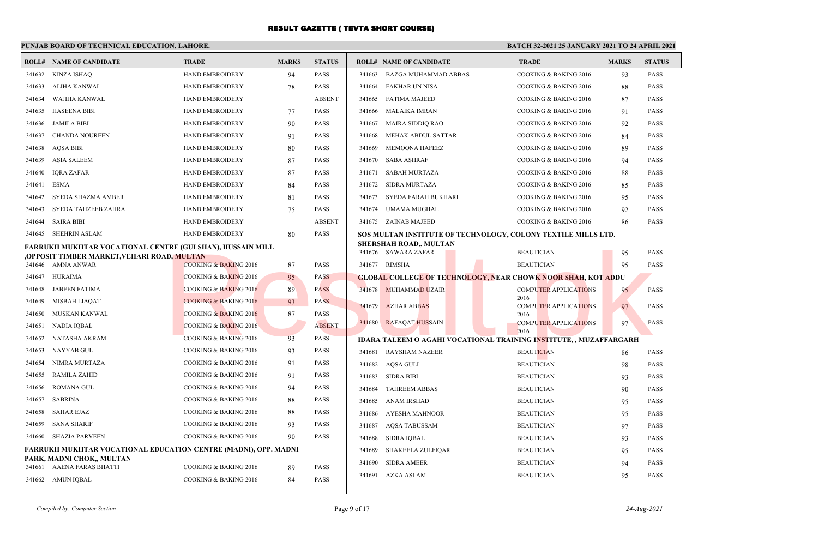### **PUNJAB BOARD OF TECHNICAL EDUCATION, LAHORE.**

|        | <b>ROLL# NAME OF CANDIDATE</b>                                                | <b>TRADE</b>                     | <b>MARKS</b> | <b>STATUS</b> |        | <b>ROLL# NAME OF CANDIDATE</b>                                            | <b>TRADE</b>                         | <b>MARKS</b> | <b>STATUS</b> |
|--------|-------------------------------------------------------------------------------|----------------------------------|--------------|---------------|--------|---------------------------------------------------------------------------|--------------------------------------|--------------|---------------|
|        | 341632 KINZA ISHAO                                                            | <b>HAND EMBROIDERY</b>           | 94           | <b>PASS</b>   | 341663 | BAZGA MUHAMMAD ABBAS                                                      | COOKING & BAKING 2016                | 93           | <b>PASS</b>   |
| 341633 | ALIHA KANWAL                                                                  | <b>HAND EMBROIDERY</b>           | 78           | <b>PASS</b>   | 341664 | FAKHAR UN NISA                                                            | COOKING & BAKING 2016                | 88           | <b>PASS</b>   |
| 341634 | WAJIHA KANWAL                                                                 | <b>HAND EMBROIDERY</b>           |              | <b>ABSENT</b> | 341665 | <b>FATIMA MAJEED</b>                                                      | COOKING & BAKING 2016                | 87           | <b>PASS</b>   |
| 341635 | <b>HASEENA BIBI</b>                                                           | <b>HAND EMBROIDERY</b>           | 77           | <b>PASS</b>   | 341666 | MALAIKA IMRAN                                                             | COOKING & BAKING 2016                | 91           | <b>PASS</b>   |
| 341636 | JAMILA BIBI                                                                   | HAND EMBROIDERY                  | 90           | <b>PASS</b>   | 341667 | MAIRA SIDDIQ RAO                                                          | COOKING & BAKING 2016                | 92           | <b>PASS</b>   |
| 341637 | <b>CHANDA NOUREEN</b>                                                         | <b>HAND EMBROIDERY</b>           | 91           | <b>PASS</b>   | 341668 | MEHAK ABDUL SATTAR                                                        | COOKING & BAKING 2016                | 84           | <b>PASS</b>   |
| 341638 | <b>AQSA BIBI</b>                                                              | HAND EMBROIDERY                  | 80           | <b>PASS</b>   | 341669 | MEMOONA HAFEEZ                                                            | COOKING & BAKING 2016                | 89           | <b>PASS</b>   |
| 341639 | <b>ASIA SALEEM</b>                                                            | <b>HAND EMBROIDERY</b>           | 87           | <b>PASS</b>   |        | 341670 SABA ASHRAF                                                        | COOKING & BAKING 2016                | 94           | <b>PASS</b>   |
| 341640 | <b>IQRA ZAFAR</b>                                                             | HAND EMBROIDERY                  | 87           | PASS          | 341671 | <b>SABAH MURTAZA</b>                                                      | COOKING & BAKING 2016                | 88           | <b>PASS</b>   |
| 341641 | ESMA                                                                          | <b>HAND EMBROIDERY</b>           | 84           | <b>PASS</b>   | 341672 | SIDRA MURTAZA                                                             | COOKING & BAKING 2016                | 85           | <b>PASS</b>   |
| 341642 | SYEDA SHAZMA AMBER                                                            | HAND EMBROIDERY                  | 81           | PASS          | 341673 | SYEDA FARAH BUKHARI                                                       | COOKING & BAKING 2016                | 95           | <b>PASS</b>   |
| 341643 | SYEDA TAHZEEB ZAHRA                                                           | <b>HAND EMBROIDERY</b>           | 75           | <b>PASS</b>   | 341674 | UMAMA MUGHAL                                                              | COOKING & BAKING 2016                | 92           | <b>PASS</b>   |
| 341644 | <b>SAIRA BIBI</b>                                                             | HAND EMBROIDERY                  |              | <b>ABSENT</b> |        | 341675 ZAINAB MAJEED                                                      | COOKING & BAKING 2016                | 86           | <b>PASS</b>   |
|        | 341645 SHEHRIN ASLAM                                                          | <b>HAND EMBROIDERY</b>           | 80           | <b>PASS</b>   |        | SOS MULTAN INSTITUTE OF TECHNOLOGY, COLONY TEXTILE MILLS LTD.             |                                      |              |               |
|        | FARRUKH MUKHTAR VOCATIONAL CENTRE (GULSHAN), HUSSAIN MILL                     |                                  |              |               |        | <b>SHERSHAH ROAD,, MULTAN</b><br>341676 SAWARA ZAFAR                      | <b>BEAUTICIAN</b>                    | 95           | <b>PASS</b>   |
|        | OPPOSIT TIMBER MARKET,VEHARI ROAD, <mark>MULTAN</mark> ,<br>341646 AMNA ANWAR | <b>COOKING &amp; BAKING 2016</b> | 87           | <b>PASS</b>   |        | 341677 RIMSHA                                                             | <b>BEAUTICIAN</b>                    | 95           | <b>PASS</b>   |
| 341647 | HURAIMA                                                                       | <b>COOKING &amp; BAKING 2016</b> | 95           | <b>PASS</b>   |        | <b>GLOBAL COLLEGE OF TECHNOLOGY, NEAR CHOWK NOOR SHAH, KOT ADDU</b>       |                                      |              |               |
| 341648 | JABEEN FATIMA                                                                 | <b>COOKING &amp; BAKING 2016</b> | 89           | <b>PASS</b>   |        | 341678 MUHAMMAD UZAIR                                                     | <b>COMPUTER APPLICATIONS</b>         | 95           | <b>PASS</b>   |
| 341649 | MISBAH LIAOAT                                                                 | <b>COOKING &amp; BAKING 2016</b> | 93           | <b>PASS</b>   |        |                                                                           | 2016                                 |              |               |
| 341650 | MUSKAN KANWAL                                                                 | COOKING & BAKING 2016            | 87           | <b>PASS</b>   |        | 341679 AZHAR ABBAS                                                        | <b>COMPUTER APPLICATIONS</b><br>2016 | 97           | <b>PASS</b>   |
| 341651 | NADIA IQBAL                                                                   | <b>COOKING &amp; BAKING 2016</b> |              | <b>ABSENT</b> |        | 341680 RAFAQAT HUSSAIN                                                    | <b>COMPUTER APPLICATIONS</b>         | 97           | PASS          |
| 341652 | NATASHA AKRAM                                                                 | COOKING & BAKING 2016            | 93           | PASS          |        | <b>IDARA TALEEM O AGAHI VOCATIONAL TRAINING INSTITUTE, , MUZAFFARGARH</b> | 2016                                 |              |               |
| 341653 | NAYYAB GUL                                                                    | COOKING & BAKING 2016            | 93           | <b>PASS</b>   | 341681 | <b>RAYSHAM NAZEER</b>                                                     | <b>BEAUTICIAN</b>                    | 86           | <b>PASS</b>   |
| 341654 | NIMRA MURTAZA                                                                 | COOKING & BAKING 2016            | 91           | <b>PASS</b>   |        | 341682 AQSA GULL                                                          | <b>BEAUTICIAN</b>                    | 98           | <b>PASS</b>   |
| 341655 | <b>RAMILA ZAHID</b>                                                           | COOKING & BAKING 2016            | 91           | <b>PASS</b>   | 341683 | <b>SIDRA BIBI</b>                                                         | <b>BEAUTICIAN</b>                    | 93           | <b>PASS</b>   |
| 341656 | <b>ROMANA GUL</b>                                                             | COOKING & BAKING 2016            | 94           | <b>PASS</b>   | 341684 | <b>TAHREEM ABBAS</b>                                                      | <b>BEAUTICIAN</b>                    | 90           | <b>PASS</b>   |
| 341657 | <b>SABRINA</b>                                                                | COOKING & BAKING 2016            | 88           | <b>PASS</b>   | 341685 | ANAM IRSHAD                                                               | <b>BEAUTICIAN</b>                    | 95           | <b>PASS</b>   |
| 341658 | <b>SAHAR EJAZ</b>                                                             | COOKING & BAKING 2016            | 88           | <b>PASS</b>   | 341686 | AYESHA MAHNOOR                                                            | <b>BEAUTICIAN</b>                    | 95           | <b>PASS</b>   |
| 341659 | <b>SANA SHARIF</b>                                                            | COOKING & BAKING 2016            | 93           | <b>PASS</b>   | 341687 | <b>AQSA TABUSSAM</b>                                                      | <b>BEAUTICIAN</b>                    | 97           | <b>PASS</b>   |
| 341660 | SHAZIA PARVEEN                                                                | COOKING & BAKING 2016            | 90           | PASS          | 341688 | <b>SIDRA IQBAL</b>                                                        | <b>BEAUTICIAN</b>                    | 93           | <b>PASS</b>   |
|        | <b>FARRUKH MUKHTAR VOCATIONAL EDUCATION CENTRE (MADNI), OPP. MADNI</b>        |                                  |              |               | 341689 | <b>SHAKEELA ZULFIQAR</b>                                                  | <b>BEAUTICIAN</b>                    | 95           | <b>PASS</b>   |
|        | PARK, MADNI CHOK,, MULTAN                                                     |                                  |              |               | 341690 | <b>SIDRA AMEER</b>                                                        | <b>BEAUTICIAN</b>                    | 94           | <b>PASS</b>   |
|        | 341661 AAENA FARAS BHATTI                                                     | COOKING & BAKING 2016            | 89           | PASS          |        | 341691 AZKA ASLAM                                                         | <b>BEAUTICIAN</b>                    | 95           | <b>PASS</b>   |
|        | 341662 AMUN IQBAL                                                             | COOKING & BAKING 2016            | 84           | <b>PASS</b>   |        |                                                                           |                                      |              |               |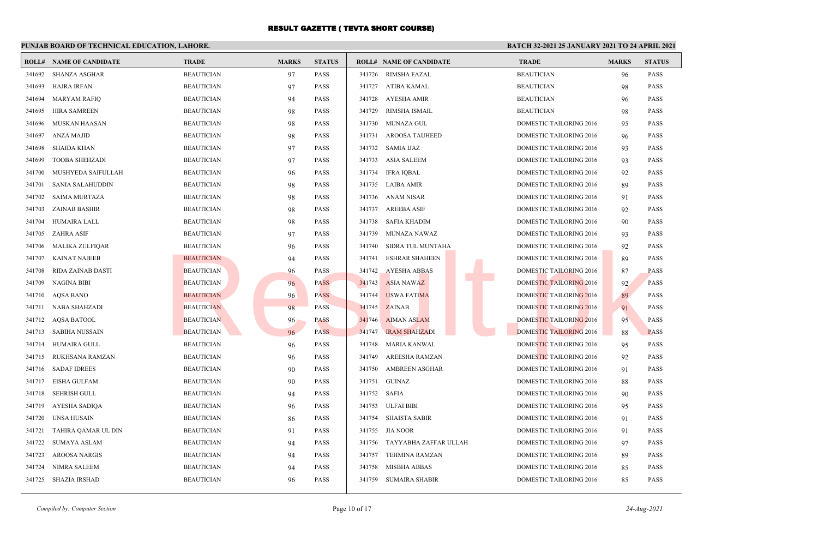### **PUNJAB BOARD OF TECHNICAL EDUCATION, LAHORE.**

|        | <b>ROLL# NAME OF CANDIDATE</b> | <b>TRADE</b>      | <b>MARKS</b> | <b>STATUS</b> |                   | <b>ROLL# NAME OF CANDIDATE</b> | <b>TRADE</b>                   | <b>MARKS</b> | <b>STATUS</b> |
|--------|--------------------------------|-------------------|--------------|---------------|-------------------|--------------------------------|--------------------------------|--------------|---------------|
| 341692 | SHANZA ASGHAR                  | <b>BEAUTICIAN</b> | 97           | <b>PASS</b>   | 341726            | RIMSHA FAZAL                   | <b>BEAUTICIAN</b>              | 96           | <b>PASS</b>   |
| 341693 | HAJRA IRFAN                    | <b>BEAUTICIAN</b> | 97           | <b>PASS</b>   |                   | 341727 ATIBA KAMAL             | <b>BEAUTICIAN</b>              | 98           | PASS          |
| 341694 | <b>MARYAM RAFIQ</b>            | <b>BEAUTICIAN</b> | 94           | <b>PASS</b>   | 341728            | AYESHA AMIR                    | <b>BEAUTICIAN</b>              | 96           | <b>PASS</b>   |
| 341695 | <b>HIRA SAMREEN</b>            | <b>BEAUTICIAN</b> | 98           | <b>PASS</b>   | 341729            | RIMSHA ISMAIL                  | <b>BEAUTICIAN</b>              | 98           | PASS          |
| 341696 | <b>MUSKAN HAASAN</b>           | <b>BEAUTICIAN</b> | 98           | <b>PASS</b>   | 341730            | MUNAZA GUL                     | <b>DOMESTIC TAILORING 2016</b> | 95           | <b>PASS</b>   |
| 341697 | <b>ANZA MAJID</b>              | <b>BEAUTICIAN</b> | 98           | <b>PASS</b>   | 341731            | AROOSA TAUHEED                 | <b>DOMESTIC TAILORING 2016</b> | 96           | <b>PASS</b>   |
| 341698 | <b>SHAIDA KHAN</b>             | <b>BEAUTICIAN</b> | 97           | <b>PASS</b>   |                   | 341732 SAMIA IJAZ              | DOMESTIC TAILORING 2016        | 93           | PASS          |
| 341699 | <b>TOOBA SHEHZADI</b>          | <b>BEAUTICIAN</b> | 97           | <b>PASS</b>   | 341733            | ASIA SALEEM                    | <b>DOMESTIC TAILORING 2016</b> | 93           | <b>PASS</b>   |
| 341700 | MUSHYEDA SAIFULLAH             | <b>BEAUTICIAN</b> | 96           | <b>PASS</b>   | 341734            | <b>IFRA IQBAL</b>              | DOMESTIC TAILORING 2016        | 92           | PASS          |
| 341701 | <b>SANIA SALAHUDDIN</b>        | <b>BEAUTICIAN</b> | 98           | <b>PASS</b>   |                   | 341735 LAIBA AMIR              | <b>DOMESTIC TAILORING 2016</b> | 89           | <b>PASS</b>   |
| 341702 | <b>SAIMA MURTAZA</b>           | <b>BEAUTICIAN</b> | 98           | <b>PASS</b>   |                   | 341736 ANAM NISAR              | DOMESTIC TAILORING 2016        | 91           | PASS          |
| 341703 | <b>ZAINAB BASHIR</b>           | <b>BEAUTICIAN</b> | 98           | <b>PASS</b>   | 341737            | <b>AREEBA ASIF</b>             | DOMESTIC TAILORING 2016        | 92           | <b>PASS</b>   |
| 341704 | <b>HUMAIRA LALL</b>            | <b>BEAUTICIAN</b> | 98           | <b>PASS</b>   | 341738            | SAFIA KHADIM                   | <b>DOMESTIC TAILORING 2016</b> | 90           | <b>PASS</b>   |
| 341705 | <b>ZAHRA ASIF</b>              | <b>BEAUTICIAN</b> | 97           | <b>PASS</b>   | 341739            | MUNAZA NAWAZ                   | <b>DOMESTIC TAILORING 2016</b> | 93           | PASS          |
| 341706 | MALIKA ZULFIQAR                | <b>BEAUTICIAN</b> | 96           | <b>PASS</b>   | 341740            | SIDRA TUL MUNTAHA              | <b>DOMESTIC TAILORING 2016</b> | 92           | <b>PASS</b>   |
| 341707 | <b>KAINAT NAJEEB</b>           | <b>BEAUTICIAN</b> | 94           | <b>PASS</b>   | 341741            | <b>ESHRAR SHAHEEN</b>          | <b>DOMESTIC TAILORING 2016</b> | 89           | <b>PASS</b>   |
| 341708 | RIDA ZAINAB DASTI              | <b>BEAUTICIAN</b> | 96           | <b>PASS</b>   | 341742            | <b>AYESHA ABBAS</b>            | DOMESTIC TAILORING 2016        | 87           | PASS          |
| 341709 | <b>NAGINA BIBI</b>             | <b>BEAUTICIAN</b> | 96           | <b>PASS</b>   | 341743            | <b>ASIA NAWAZ</b>              | <b>DOMESTIC TAILORING 2016</b> | 92           | <b>PASS</b>   |
| 341710 | <b>AQSA BANO</b>               | <b>BEAUTICIAN</b> | 96           | <b>PASS</b>   | 341744            | <b>USWA FATIMA</b>             | DOMESTIC TAILORING 2016        | 89           | PASS          |
| 341711 | NABA SHAHZADI                  | <b>BEAUTICIAN</b> | 98           | <b>PASS</b>   | 341745            | <b>ZAINAB</b>                  | DOMESTIC TAILORING 2016        | 91           | <b>PASS</b>   |
| 341712 | <b>AQSA BATOOL</b>             | <b>BEAUTICIAN</b> | 96           | <b>PASS</b>   | 341746            | <b>AIMAN ASLAM</b>             | <b>DOMESTIC TAILORING 2016</b> | 95           | PASS          |
| 341713 | SABIHA NUSSAIN                 | <b>BEAUTICIAN</b> | 96           | <b>PASS</b>   | 341747            | <b>IRAM SHAHZADI</b>           | <b>DOMESTIC TAILORING 2016</b> | -88          | <b>PASS</b>   |
| 341714 | HUMAIRA GULL                   | <b>BEAUTICIAN</b> | 96           | <b>PASS</b>   | 341748            | MARIA KANWAL                   | <b>DOMESTIC TAILORING 2016</b> | 95           | PASS          |
| 341715 | RUKHSANA RAMZAN                | <b>BEAUTICIAN</b> | 96           | <b>PASS</b>   | 341749            | AREESHA RAMZAN                 | DOMESTIC TAILORING 2016        | 92           | PASS          |
| 341716 | <b>SADAF IDREES</b>            | <b>BEAUTICIAN</b> | 90           | <b>PASS</b>   | 341750            | <b>AMBREEN ASGHAR</b>          | DOMESTIC TAILORING 2016        | 91           | <b>PASS</b>   |
| 341717 | <b>EISHA GULFAM</b>            | <b>BEAUTICIAN</b> | 90           | <b>PASS</b>   | 341751            | GUINAZ                         | DOMESTIC TAILORING 2016        | 88           | PASS          |
| 341718 | SEHRISH GULL                   | <b>BEAUTICIAN</b> | 94           | <b>PASS</b>   | 341752 SAFIA      |                                | <b>DOMESTIC TAILORING 2016</b> | 90           | <b>PASS</b>   |
| 341719 | <b>AYESHA SADIQA</b>           | <b>BEAUTICIAN</b> | 96           | <b>PASS</b>   | 341753 ULFAI BIBI |                                | DOMESTIC TAILORING 2016        | 95           | PASS          |
| 341720 | <b>UNSA HUSAIN</b>             | <b>BEAUTICIAN</b> | 86           | <b>PASS</b>   | 341754            | <b>SHAISTA SABIR</b>           | <b>DOMESTIC TAILORING 2016</b> | 91           | <b>PASS</b>   |
| 341721 | TAHIRA QAMAR UL DIN            | <b>BEAUTICIAN</b> | 91           | <b>PASS</b>   | 341755            | JIA NOOR                       | <b>DOMESTIC TAILORING 2016</b> | 91           | <b>PASS</b>   |
| 341722 | <b>SUMAYA ASLAM</b>            | <b>BEAUTICIAN</b> | 94           | <b>PASS</b>   | 341756            | TAYYABHA ZAFFAR ULLAH          | DOMESTIC TAILORING 2016        | 97           | <b>PASS</b>   |
| 341723 | <b>AROOSA NARGIS</b>           | <b>BEAUTICIAN</b> | 94           | <b>PASS</b>   | 341757            | TEHMINA RAMZAN                 | DOMESTIC TAILORING 2016        | 89           | <b>PASS</b>   |
| 341724 | <b>NIMRA SALEEM</b>            | <b>BEAUTICIAN</b> | 94           | <b>PASS</b>   | 341758            | <b>MISBHA ABBAS</b>            | DOMESTIC TAILORING 2016        | 85           | PASS          |
|        | 341725 SHAZIA IRSHAD           | <b>BEAUTICIAN</b> | 96           | <b>PASS</b>   | 341759            | SUMAIRA SHABIR                 | <b>DOMESTIC TAILORING 2016</b> | 85           | <b>PASS</b>   |
|        |                                |                   |              |               |                   |                                |                                |              |               |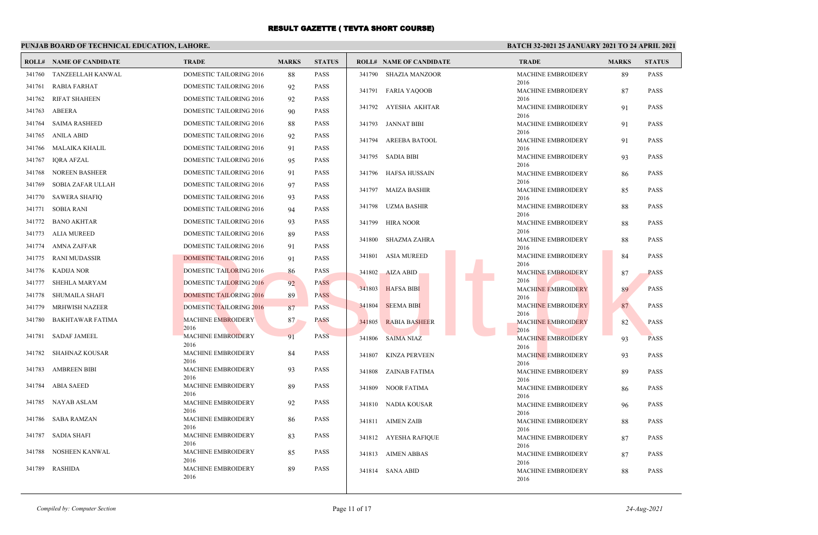### **PUNJAB BOARD OF TECHNICAL EDUCATION, LAHORE.**

|        | <b>ROLL# NAME OF CANDIDATE</b> | <b>TRADE</b>                      | <b>MARKS</b> | <b>STATUS</b> |        | <b>ROLL# NAME OF CANDIDATE</b> | <b>TRADE</b>                      | <b>MARKS</b> | <b>STATUS</b> |
|--------|--------------------------------|-----------------------------------|--------------|---------------|--------|--------------------------------|-----------------------------------|--------------|---------------|
| 341760 | TANZEELLAH KANWAL              | <b>DOMESTIC TAILORING 2016</b>    | 88           | <b>PASS</b>   |        | 341790 SHAZIA MANZOOR          | <b>MACHINE EMBROIDERY</b>         | 89           | <b>PASS</b>   |
| 341761 | <b>RABIA FARHAT</b>            | DOMESTIC TAILORING 2016           | 92           | <b>PASS</b>   |        | 341791 FARIA YAQOOB            | 2016<br><b>MACHINE EMBROIDERY</b> | 87           | <b>PASS</b>   |
| 341762 | <b>RIFAT SHAHEEN</b>           | DOMESTIC TAILORING 2016           | 92           | <b>PASS</b>   |        |                                | 2016                              |              |               |
| 341763 | ABEERA                         | DOMESTIC TAILORING 2016           | 90           | <b>PASS</b>   |        | 341792 AYESHA AKHTAR           | <b>MACHINE EMBROIDERY</b><br>2016 | 91           | <b>PASS</b>   |
| 341764 | <b>SAIMA RASHEED</b>           | DOMESTIC TAILORING 2016           | 88           | <b>PASS</b>   |        | 341793 JANNAT BIBI             | <b>MACHINE EMBROIDERY</b>         | 91           | <b>PASS</b>   |
| 341765 | ANILA ABID                     | <b>DOMESTIC TAILORING 2016</b>    | 92           | <b>PASS</b>   |        | 341794 AREEBA BATOOL           | 2016<br>MACHINE EMBROIDERY        | 91           | <b>PASS</b>   |
| 341766 | MALAIKA KHALIL                 | DOMESTIC TAILORING 2016           | 91           | <b>PASS</b>   |        |                                | 2016                              |              |               |
| 341767 | <b>IORA AFZAL</b>              | DOMESTIC TAILORING 2016           | 95           | <b>PASS</b>   |        | 341795 SADIA BIBI              | <b>MACHINE EMBROIDERY</b>         | 93           | <b>PASS</b>   |
| 341768 | <b>NOREEN BASHEER</b>          | DOMESTIC TAILORING 2016           | 91           | <b>PASS</b>   |        | 341796 HAFSA HUSSAIN           | 2016<br><b>MACHINE EMBROIDERY</b> | 86           | <b>PASS</b>   |
| 341769 | SOBIA ZAFAR ULLAH              | <b>DOMESTIC TAILORING 2016</b>    | 97           | <b>PASS</b>   |        |                                | 2016                              |              |               |
| 341770 | <b>SAWERA SHAFIQ</b>           | DOMESTIC TAILORING 2016           | 93           | <b>PASS</b>   |        | 341797 MAIZA BASHIR            | MACHINE EMBROIDERY<br>2016        | 85           | <b>PASS</b>   |
| 341771 | SOBIA RANI                     | <b>DOMESTIC TAILORING 2016</b>    | 94           | <b>PASS</b>   |        | 341798 UZMA BASHIR             | <b>MACHINE EMBROIDERY</b>         | 88           | <b>PASS</b>   |
|        | 341772 BANO AKHTAR             | DOMESTIC TAILORING 2016           | 93           | <b>PASS</b>   |        | 341799 HIRA NOOR               | 2016<br><b>MACHINE EMBROIDERY</b> | 88           | <b>PASS</b>   |
|        | 341773 ALIA MUREED             | <b>DOMESTIC TAILORING 2016</b>    | 89           | <b>PASS</b>   |        |                                | 2016                              |              |               |
| 341774 | AMNA ZAFFAR                    | DOMESTIC TAILORING 2016           | 91           | <b>PASS</b>   | 341800 | SHAZMA ZAHRA                   | <b>MACHINE EMBROIDERY</b><br>2016 | 88           | <b>PASS</b>   |
|        | 341775 RANI MUDASSIR           | DOMESTIC TAILORING 2016           | 91           | <b>PASS</b>   |        | 341801 ASIA MUREED             | <b>MACHINE EMBROIDERY</b>         | 84           | <b>PASS</b>   |
| 341776 | KADIJA NOR                     | <b>DOMESTIC TAILORING 2016</b>    | 86           | <b>PASS</b>   |        | 341802 AIZA ABID               | 2016<br><b>MACHINE EMBROIDERY</b> | 87           | <b>PASS</b>   |
| 341777 | SHEHLA MARYAM                  | <b>DOMESTIC TAILORING 2016</b>    | 92           | <b>PASS</b>   |        |                                | 2016                              |              |               |
| 341778 | <b>SHUMAILA SHAFI</b>          | <b>DOMESTIC TAILORING 2016</b>    | 89           | <b>PASS</b>   |        | 341803 HAFSA BIBI              | <b>MACHINE EMBROIDERY</b><br>2016 | 89           | <b>PASS</b>   |
| 341779 | MRHWISH NAZEER                 | <b>DOMESTIC TAILORING 2016</b>    | 87           | <b>PASS</b>   | 341804 | <b>SEEMA BIBI</b>              | <b>MACHINE EMBROIDERY</b>         | 87           | <b>PASS</b>   |
| 341780 | BAKHTAWAR FATIMA               | <b>MACHINE EMBROIDERY</b>         | 87           | <b>PASS</b>   |        | 341805 RABIA BASHEER           | 2016<br><b>MACHINE EMBROIDERY</b> | 82           | <b>PASS</b>   |
| 341781 | SADAF JAMEEL                   | 2016<br><b>MACHINE EMBROIDERY</b> | 91           | <b>PASS</b>   |        |                                | 2016                              |              |               |
|        |                                | 2016                              |              |               |        | 341806 SAIMA NIAZ              | <b>MACHINE EMBROIDERY</b><br>2016 | 93           | <b>PASS</b>   |
| 341782 | SHAHNAZ KOUSAR                 | MACHINE EMBROIDERY<br>2016        | 84           | <b>PASS</b>   |        | 341807 KINZA PERVEEN           | <b>MACHINE EMBROIDERY</b>         | 93           | <b>PASS</b>   |
| 341783 | <b>AMBREEN BIBI</b>            | <b>MACHINE EMBROIDERY</b>         | 93           | <b>PASS</b>   |        | 341808 ZAINAB FATIMA           | 2016<br>MACHINE EMBROIDERY        | 89           | <b>PASS</b>   |
| 341784 | <b>ABIA SAEED</b>              | 2016<br>MACHINE EMBROIDERY        | 89           | PASS          |        |                                | 2016                              |              |               |
|        |                                | 2016                              |              |               |        | 341809 NOOR FATIMA             | MACHINE EMBROIDERY<br>2016        | 86           | <b>PASS</b>   |
|        | 341785 NAYAB ASLAM             | MACHINE EMBROIDERY<br>2016        | 92           | <b>PASS</b>   |        | 341810 NADIA KOUSAR            | <b>MACHINE EMBROIDERY</b>         | 96           | <b>PASS</b>   |
|        | 341786 SABA RAMZAN             | MACHINE EMBROIDERY                | 86           | <b>PASS</b>   |        | 341811 AIMEN ZAIB              | 2016<br><b>MACHINE EMBROIDERY</b> | 88           | <b>PASS</b>   |
| 341787 | SADIA SHAFI                    | 2016<br><b>MACHINE EMBROIDERY</b> |              | <b>PASS</b>   |        |                                | 2016                              |              |               |
|        |                                | 2016                              | 83           |               |        | 341812 AYESHA RAFIQUE          | <b>MACHINE EMBROIDERY</b><br>2016 | 87           | <b>PASS</b>   |
| 341788 | NOSHEEN KANWAL                 | MACHINE EMBROIDERY                | 85           | <b>PASS</b>   |        | 341813 AIMEN ABBAS             | <b>MACHINE EMBROIDERY</b>         | 87           | <b>PASS</b>   |
| 341789 | <b>RASHIDA</b>                 | 2016<br><b>MACHINE EMBROIDERY</b> | 89           | <b>PASS</b>   |        | 341814 SANA ABID               | 2016<br><b>MACHINE EMBROIDERY</b> | 88           | <b>PASS</b>   |
|        |                                | 2016                              |              |               |        |                                | 2016                              |              |               |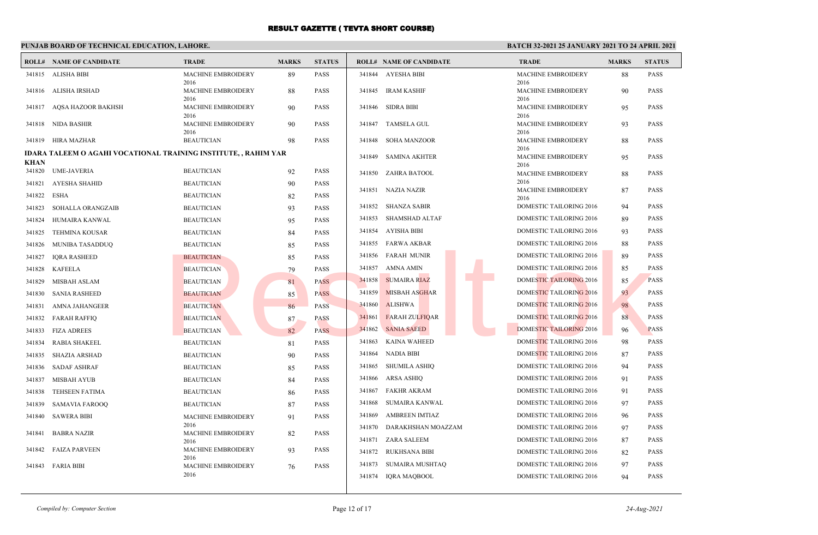### **PUNJAB BOARD OF TECHNICAL EDUCATION, LAHORE.**

|                       | <b>ROLL# NAME OF CANDIDATE</b>                                  | <b>TRADE</b>                              | <b>MARKS</b> | <b>STATUS</b> |        | <b>ROLL# NAME OF CANDIDATE</b> | <b>TRADE</b>                              | <b>MARKS</b> | <b>STATUS</b> |
|-----------------------|-----------------------------------------------------------------|-------------------------------------------|--------------|---------------|--------|--------------------------------|-------------------------------------------|--------------|---------------|
|                       | 341815 ALISHA BIBI                                              | MACHINE EMBROIDERY                        | 89           | <b>PASS</b>   |        | 341844 AYESHA BIBI             | MACHINE EMBROIDERY                        | 88           | <b>PASS</b>   |
|                       | 341816 ALISHA IRSHAD                                            | 2016<br><b>MACHINE EMBROIDERY</b>         | 88           | <b>PASS</b>   |        | 341845 IRAM KASHIF             | 2016<br>MACHINE EMBROIDERY                | 90           | <b>PASS</b>   |
|                       | 341817 AQSA HAZOOR BAKHSH                                       | 2016<br><b>MACHINE EMBROIDERY</b><br>2016 | 90           | <b>PASS</b>   |        | 341846 SIDRA BIBI              | 2016<br><b>MACHINE EMBROIDERY</b><br>2016 | 95           | <b>PASS</b>   |
|                       | 341818 NIDA BASHIR                                              | <b>MACHINE EMBROIDERY</b><br>2016         | 90           | <b>PASS</b>   | 341847 | <b>TAMSELA GUL</b>             | <b>MACHINE EMBROIDERY</b><br>2016         | 93           | <b>PASS</b>   |
|                       | 341819 HIRA MAZHAR                                              | <b>BEAUTICIAN</b>                         | 98           | <b>PASS</b>   | 341848 | <b>SOHA MANZOOR</b>            | MACHINE EMBROIDERY                        | 88           | <b>PASS</b>   |
|                       | IDARA TALEEM O AGAHI VOCATIONAL TRAINING INSTITUTE, , RAHIM YAR |                                           |              |               | 341849 | <b>SAMINA AKHTER</b>           | 2016<br><b>MACHINE EMBROIDERY</b>         | 95           | <b>PASS</b>   |
| <b>KHAN</b><br>341820 | <b>UME-JAVERIA</b>                                              | <b>BEAUTICIAN</b>                         | 92           | <b>PASS</b>   | 341850 | ZAHRA BATOOL                   | 2016<br>MACHINE EMBROIDERY                | 88           | <b>PASS</b>   |
| 341821                | AYESHA SHAHID                                                   | <b>BEAUTICIAN</b>                         | 90           | <b>PASS</b>   |        |                                | 2016                                      |              |               |
| 341822                | ESHA                                                            | <b>BEAUTICIAN</b>                         | 82           | <b>PASS</b>   |        | 341851 NAZIA NAZIR             | <b>MACHINE EMBROIDERY</b><br>2016         | 87           | <b>PASS</b>   |
| 341823                | <b>SOHALLA ORANGZAIB</b>                                        | <b>BEAUTICIAN</b>                         | 93           | <b>PASS</b>   |        | 341852 SHANZA SABIR            | <b>DOMESTIC TAILORING 2016</b>            | 94           | <b>PASS</b>   |
| 341824                | HUMAIRA KANWAL                                                  | <b>BEAUTICIAN</b>                         | 95           | <b>PASS</b>   | 341853 | SHAMSHAD ALTAF                 | <b>DOMESTIC TAILORING 2016</b>            | 89           | <b>PASS</b>   |
| 341825                | <b>TEHMINA KOUSAR</b>                                           | <b>BEAUTICIAN</b>                         | 84           | <b>PASS</b>   |        | 341854 AYISHA BIBI             | <b>DOMESTIC TAILORING 2016</b>            | 93           | <b>PASS</b>   |
| 341826                | MUNIBA TASADDUQ                                                 | <b>BEAUTICIAN</b>                         | 85           | <b>PASS</b>   | 341855 | FARWA AKBAR                    | <b>DOMESTIC TAILORING 2016</b>            | 88           | <b>PASS</b>   |
| 341827                | <b>IQRA RASHEED</b>                                             | <b>BEAUTICIAN</b>                         | 85           | <b>PASS</b>   | 341856 | <b>FARAH MUNIR</b>             | DOMESTIC TAILORING 2016                   | 89           | <b>PASS</b>   |
|                       | 341828 KAFEELA                                                  | <b>BEAUTICIAN</b>                         | 79           | <b>PASS</b>   | 341857 | AMNA AMIN                      | <b>DOMESTIC TAILORING 2016</b>            | 85           | <b>PASS</b>   |
| 341829                | MISBAH ASLAM                                                    | <b>BEAUTICIAN</b>                         | 81           | <b>PASS</b>   | 341858 | <b>SUMAIRA RIAZ</b>            | <b>DOMESTIC TAILORING 2016</b>            | 85           | <b>PASS</b>   |
| 341830                | <b>SANIA RASHEED</b>                                            | <b>BEAUTICIAN</b>                         | 85           | <b>PASS</b>   | 341859 | <b>MISBAH ASGHAR</b>           | DOMESTIC TAILORING 2016                   | 93           | <b>PASS</b>   |
| 341831                | <b>AMNA JAHANGEER</b>                                           | <b>BEAUTICIAN</b>                         | 86           | <b>PASS</b>   | 341860 | <b>ALISHWA</b>                 | DOMESTIC TAILORING 2016                   | 98           | <b>PASS</b>   |
| 341832                | <b>FARAH RAFFIQ</b>                                             | <b>BEAUTICIAN</b>                         | 87           | <b>PASS</b>   | 341861 | <b>FARAH ZULFIQAR</b>          | DOMESTIC TAILORING 2016                   | 88           | <b>PASS</b>   |
| 341833                | <b>FIZA ADREES</b>                                              | <b>BEAUTICIAN</b>                         | 82           | <b>PASS</b>   | 341862 | <b>SANIA SAEED</b>             | <b>DOMESTIC TAILORING 2016</b>            | 96           | <b>PASS</b>   |
| 341834                | <b>RABIA SHAKEEL</b>                                            | <b>BEAUTICIAN</b>                         | 81           | <b>PASS</b>   | 341863 | <b>KAINA WAHEED</b>            | DOMESTIC TAILORING 2016                   | 98           | <b>PASS</b>   |
| 341835                | SHAZIA ARSHAD                                                   | <b>BEAUTICIAN</b>                         | 90           | <b>PASS</b>   | 341864 | NADIA BIBI                     | DOMESTIC TAILORING 2016                   | 87           | <b>PASS</b>   |
|                       | 341836 SADAF ASHRAF                                             | <b>BEAUTICIAN</b>                         | 85           | <b>PASS</b>   | 341865 | SHUMILA ASHIQ                  | DOMESTIC TAILORING 2016                   | 94           | <b>PASS</b>   |
| 341837                | MISBAH AYUB                                                     | <b>BEAUTICIAN</b>                         | 84           | <b>PASS</b>   | 341866 | ARSA ASHIQ                     | DOMESTIC TAILORING 2016                   | 91           | <b>PASS</b>   |
| 341838                | <b>TEHSEEN FATIMA</b>                                           | <b>BEAUTICIAN</b>                         | -86          | <b>PASS</b>   | 341867 | FAKHR AKRAM                    | <b>DOMESTIC TAILORING 2016</b>            | 91           | <b>PASS</b>   |
| 341839                | <b>SAMAVIA FAROOQ</b>                                           | <b>BEAUTICIAN</b>                         | 87           | <b>PASS</b>   | 341868 | SUMAIRA KANWAL                 | DOMESTIC TAILORING 2016                   | 97           | <b>PASS</b>   |
| 341840                | <b>SAWERA BIBI</b>                                              | <b>MACHINE EMBROIDERY</b>                 | 91           | <b>PASS</b>   | 341869 | <b>AMBREEN IMTIAZ</b>          | DOMESTIC TAILORING 2016                   | 96           | <b>PASS</b>   |
| 341841                | <b>BABRA NAZIR</b>                                              | 2016<br><b>MACHINE EMBROIDERY</b>         | 82           | <b>PASS</b>   | 341870 | DARAKHSHAN MOAZZAM             | DOMESTIC TAILORING 2016                   | 97           | <b>PASS</b>   |
|                       |                                                                 | 2016                                      |              |               | 341871 | ZARA SALEEM                    | <b>DOMESTIC TAILORING 2016</b>            | 87           | <b>PASS</b>   |
|                       | 341842 FAIZA PARVEEN                                            | <b>MACHINE EMBROIDERY</b><br>2016         | 93           | <b>PASS</b>   | 341872 | RUKHSANA BIBI                  | DOMESTIC TAILORING 2016                   | 82           | <b>PASS</b>   |
|                       | 341843 FARIA BIBI                                               | <b>MACHINE EMBROIDERY</b>                 | 76           | <b>PASS</b>   | 341873 | SUMAIRA MUSHTAQ                | DOMESTIC TAILORING 2016                   | 97           | <b>PASS</b>   |
|                       |                                                                 | 2016                                      |              |               |        | 341874 IQRA MAQBOOL            | DOMESTIC TAILORING 2016                   | 94           | <b>PASS</b>   |
|                       |                                                                 |                                           |              |               |        |                                |                                           |              |               |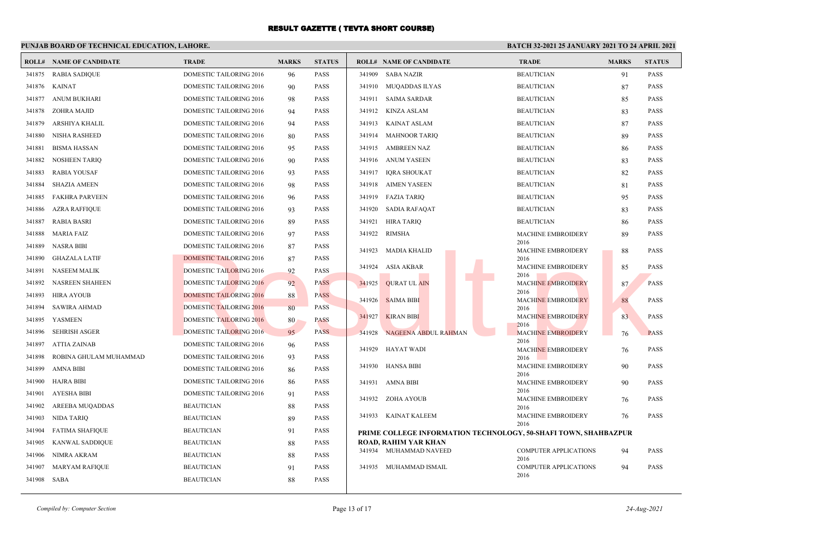# **PUNJAB BOARD OF TECHNICAL EDUCATION, LAHORE.**

|        | <b>ROLL# NAME OF CANDIDATE</b> | <b>TRADE</b>                   | <b>MARKS</b> | <b>STATUS</b> |        | <b>ROLL# NAME OF CANDIDATE</b>                                  | <b>TRADE</b>                         | <b>MARKS</b> | <b>STATUS</b> |
|--------|--------------------------------|--------------------------------|--------------|---------------|--------|-----------------------------------------------------------------|--------------------------------------|--------------|---------------|
| 341875 | <b>RABIA SADIQUE</b>           | <b>DOMESTIC TAILORING 2016</b> | 96           | <b>PASS</b>   | 341909 | <b>SABA NAZIR</b>                                               | <b>BEAUTICIAN</b>                    | 91           | <b>PASS</b>   |
| 341876 | <b>KAINAT</b>                  | <b>DOMESTIC TAILORING 2016</b> | 90           | <b>PASS</b>   | 341910 | <b>MUQADDAS ILYAS</b>                                           | <b>BEAUTICIAN</b>                    | 87           | <b>PASS</b>   |
| 341877 | ANUM BUKHARI                   | DOMESTIC TAILORING 2016        | 98           | <b>PASS</b>   | 341911 | <b>SAIMA SARDAR</b>                                             | <b>BEAUTICIAN</b>                    | 85           | <b>PASS</b>   |
| 341878 | ZOHRA MAJID                    | <b>DOMESTIC TAILORING 2016</b> | 94           | <b>PASS</b>   | 341912 | KINZA ASLAM                                                     | <b>BEAUTICIAN</b>                    | 83           | <b>PASS</b>   |
| 341879 | ARSHIYA KHALIL                 | DOMESTIC TAILORING 2016        | 94           | <b>PASS</b>   | 341913 | <b>KAINAT ASLAM</b>                                             | <b>BEAUTICIAN</b>                    | 87           | PASS          |
| 341880 | NISHA RASHEED                  | DOMESTIC TAILORING 2016        | 80           | <b>PASS</b>   | 341914 | <b>MAHNOOR TARIQ</b>                                            | <b>BEAUTICIAN</b>                    | 89           | <b>PASS</b>   |
| 341881 | <b>BISMA HASSAN</b>            | <b>DOMESTIC TAILORING 2016</b> | 95           | <b>PASS</b>   | 341915 | AMBREEN NAZ                                                     | <b>BEAUTICIAN</b>                    | 86           | <b>PASS</b>   |
| 341882 | <b>NOSHEEN TARIQ</b>           | DOMESTIC TAILORING 2016        | 90           | <b>PASS</b>   | 341916 | ANUM YASEEN                                                     | <b>BEAUTICIAN</b>                    | 83           | <b>PASS</b>   |
| 341883 | <b>RABIA YOUSAF</b>            | <b>DOMESTIC TAILORING 2016</b> | 93           | <b>PASS</b>   | 341917 | <b>IORA SHOUKAT</b>                                             | <b>BEAUTICIAN</b>                    | 82           | <b>PASS</b>   |
| 341884 | <b>SHAZIA AMEEN</b>            | DOMESTIC TAILORING 2016        | 98           | <b>PASS</b>   | 341918 | <b>AIMEN YASEEN</b>                                             | <b>BEAUTICIAN</b>                    | 81           | <b>PASS</b>   |
| 341885 | FAKHRA PARVEEN                 | <b>DOMESTIC TAILORING 2016</b> | 96           | <b>PASS</b>   | 341919 | <b>FAZIA TARIO</b>                                              | <b>BEAUTICIAN</b>                    | 95           | <b>PASS</b>   |
| 341886 | <b>AZRA RAFFIQUE</b>           | DOMESTIC TAILORING 2016        | 93           | <b>PASS</b>   | 341920 | <b>SADIA RAFAQAT</b>                                            | <b>BEAUTICIAN</b>                    | 83           | <b>PASS</b>   |
| 341887 | <b>RABIA BASRI</b>             | DOMESTIC TAILORING 2016        | 89           | <b>PASS</b>   | 341921 | <b>HIRA TARIQ</b>                                               | <b>BEAUTICIAN</b>                    | 86           | <b>PASS</b>   |
| 341888 | <b>MARIA FAIZ</b>              | <b>DOMESTIC TAILORING 2016</b> | 97           | <b>PASS</b>   | 341922 | RIMSHA                                                          | <b>MACHINE EMBROIDERY</b>            | 89           | <b>PASS</b>   |
| 341889 | NASRA BIBI                     | DOMESTIC TAILORING 2016        | 87           | <b>PASS</b>   | 341923 | MADIA KHALID                                                    | 2016<br><b>MACHINE EMBROIDERY</b>    | 88           | <b>PASS</b>   |
| 341890 | <b>GHAZALA LATIF</b>           | <b>DOMESTIC TAILORING 2016</b> | 87           | <b>PASS</b>   |        |                                                                 | 2016                                 |              |               |
| 341891 | <b>NASEEM MALIK</b>            | <b>DOMESTIC TAILORING 2016</b> | 92           | <b>PASS</b>   | 341924 | ASIA AKBAR                                                      | <b>MACHINE EMBROIDERY</b><br>2016    | 85           | <b>PASS</b>   |
| 341892 | <b>NASREEN SHAHEEN</b>         | <b>DOMESTIC TAILORING 2016</b> | 92           | <b>PASS</b>   | 341925 | <b>OURAT UL AIN</b>                                             | <b>MACHINE EMBROIDERY</b>            | 87           | <b>PASS</b>   |
| 341893 | HIRA AYOUB                     | <b>DOMESTIC TAILORING 2016</b> | 88           | <b>PASS</b>   | 341926 | <b>SAIMA BIBI</b>                                               | 2016<br><b>MACHINE EMBROIDERY</b>    | 88           | <b>PASS</b>   |
| 341894 | SAWIRA AHMAD                   | DOMESTIC TAILORING 2016        | 80           | <b>PASS</b>   |        |                                                                 | 2016                                 |              |               |
| 341895 | <b>YASMEEN</b>                 | <b>DOMESTIC TAILORING 2016</b> | 80           | <b>PASS</b>   | 341927 | <b>KIRAN BIBI</b>                                               | <b>MACHINE EMBROIDERY</b><br>2016    | 83           | <b>PASS</b>   |
| 341896 | <b>SEHRISH ASGER</b>           | DOMESTIC TAILORING 2016        | 95           | <b>PASS</b>   | 341928 | <b>NAGEENA ABDUL RAHMAN</b>                                     | <b>MACHINE EMBROIDERY</b>            | 76           | <b>PASS</b>   |
| 341897 | <b>ATTIA ZAINAB</b>            | DOMESTIC TAILORING 2016        | 96           | <b>PASS</b>   | 341929 | HAYAT WADI                                                      | 2016<br><b>MACHINE EMBROIDERY</b>    | 76           | <b>PASS</b>   |
| 341898 | ROBINA GHULAM MUHAMMAD         | DOMESTIC TAILORING 2016        | 93           | <b>PASS</b>   |        |                                                                 | 2016                                 |              |               |
| 341899 | AMNA BIBI                      | <b>DOMESTIC TAILORING 2016</b> | 86           | <b>PASS</b>   | 341930 | HANSA BIBI                                                      | <b>MACHINE EMBROIDERY</b><br>2016    | 90           | <b>PASS</b>   |
| 341900 | HAJRA BIBI                     | DOMESTIC TAILORING 2016        | 86           | PASS          | 341931 | AMNA BIBI                                                       | <b>MACHINE EMBROIDERY</b>            | 90           | <b>PASS</b>   |
| 341901 | <b>AYESHA BIBI</b>             | DOMESTIC TAILORING 2016        | 91           | <b>PASS</b>   |        | 341932 ZOHA AYOUB                                               | 2016<br><b>MACHINE EMBROIDERY</b>    |              | <b>PASS</b>   |
| 341902 | AREEBA MUQADDAS                | <b>BEAUTICIAN</b>              | 88           | <b>PASS</b>   |        |                                                                 | 2016                                 | 76           |               |
| 341903 | NIDA TARIO                     | <b>BEAUTICIAN</b>              | 89           | <b>PASS</b>   |        | 341933 KAINAT KALEEM                                            | <b>MACHINE EMBROIDERY</b><br>2016    | 76           | <b>PASS</b>   |
| 341904 | <b>FATIMA SHAFIQUE</b>         | <b>BEAUTICIAN</b>              | 91           | <b>PASS</b>   |        | PRIME COLLEGE INFORMATION TECHNOLOGY, 50-SHAFI TOWN, SHAHBAZPUR |                                      |              |               |
| 341905 | KANWAL SADDIQUE                | <b>BEAUTICIAN</b>              | 88           | <b>PASS</b>   |        | ROAD, RAHIM YAR KHAN                                            |                                      |              |               |
| 341906 | NIMRA AKRAM                    | <b>BEAUTICIAN</b>              | 88           | <b>PASS</b>   |        | 341934 MUHAMMAD NAVEED                                          | <b>COMPUTER APPLICATIONS</b><br>2016 | 94           | <b>PASS</b>   |
| 341907 | <b>MARYAM RAFIQUE</b>          | <b>BEAUTICIAN</b>              | 91           | PASS          |        | 341935 MUHAMMAD ISMAIL                                          | <b>COMPUTER APPLICATIONS</b>         | 94           | <b>PASS</b>   |
| 341908 | SABA                           | <b>BEAUTICIAN</b>              | 88           | <b>PASS</b>   |        |                                                                 | 2016                                 |              |               |
|        |                                |                                |              |               |        |                                                                 |                                      |              |               |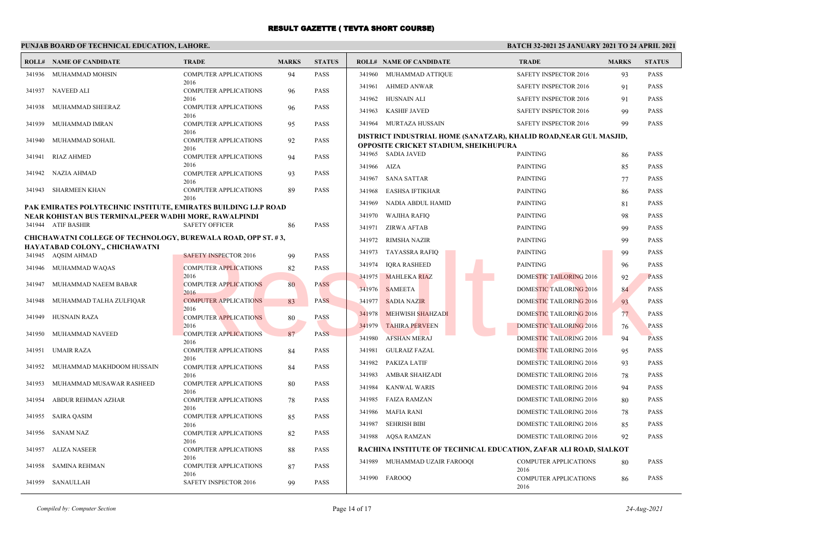### **PUNJAB BOARD OF TECHNICAL EDUCATION, LAHORE.**

### **BATCH 32-2021 25 JANUARY 2021 TO 24 APRIL 2021**

|        | <b>ROLL# NAME OF CANDIDATE</b>                                       | <b>TRADE</b>                         | <b>MARKS</b> | <b>STATUS</b> |             | <b>ROLL# NAME OF CANDIDATE</b>                                                                              | <b>TRADE</b>                         | <b>MARKS</b> | <b>STATUS</b> |
|--------|----------------------------------------------------------------------|--------------------------------------|--------------|---------------|-------------|-------------------------------------------------------------------------------------------------------------|--------------------------------------|--------------|---------------|
|        | 341936 MUHAMMAD MOHSIN                                               | <b>COMPUTER APPLICATIONS</b>         | 94           | <b>PASS</b>   |             | 341960 MUHAMMAD ATTIQUE                                                                                     | <b>SAFETY INSPECTOR 2016</b>         | 93           | <b>PASS</b>   |
| 341937 | NAVEED ALI                                                           | 2016<br><b>COMPUTER APPLICATIONS</b> | 96           | PASS          |             | 341961 AHMED ANWAR                                                                                          | SAFETY INSPECTOR 2016                | 91           | <b>PASS</b>   |
|        |                                                                      | 2016                                 |              |               | 341962      | HUSNAIN ALI                                                                                                 | SAFETY INSPECTOR 2016                | 91           | <b>PASS</b>   |
| 341938 | MUHAMMAD SHEERAZ                                                     | <b>COMPUTER APPLICATIONS</b><br>2016 | 96           | <b>PASS</b>   | 341963      | <b>KASHIF JAVED</b>                                                                                         | <b>SAFETY INSPECTOR 2016</b>         | 99           | <b>PASS</b>   |
| 341939 | MUHAMMAD IMRAN                                                       | <b>COMPUTER APPLICATIONS</b>         | 95           | <b>PASS</b>   |             | 341964 MURTAZA HUSSAIN                                                                                      | <b>SAFETY INSPECTOR 2016</b>         | 99           | <b>PASS</b>   |
| 341940 | MUHAMMAD SOHAIL                                                      | 2016<br><b>COMPUTER APPLICATIONS</b> | 92           | <b>PASS</b>   |             | DISTRICT INDUSTRIAL HOME (SANATZAR), KHALID ROAD, NEAR GUL MASJID,<br>OPPOSITE CRICKET STADIUM, SHEIKHUPURA |                                      |              |               |
| 341941 | RIAZ AHMED                                                           | 2016<br><b>COMPUTER APPLICATIONS</b> | 94           | <b>PASS</b>   |             | 341965 SADIA JAVED                                                                                          | <b>PAINTING</b>                      | 86           | <b>PASS</b>   |
|        |                                                                      | 2016                                 |              |               | 341966 AIZA |                                                                                                             | <b>PAINTING</b>                      | 85           | <b>PASS</b>   |
| 341942 | NAZIA AHMAD                                                          | COMPUTER APPLICATIONS<br>2016        | 93           | PASS          | 341967      | <b>SANA SATTAR</b>                                                                                          | <b>PAINTING</b>                      | 77           | <b>PASS</b>   |
| 341943 | SHARMEEN KHAN                                                        | <b>COMPUTER APPLICATIONS</b>         | 89           | PASS          | 341968      | EASHSA IFTIKHAR                                                                                             | <b>PAINTING</b>                      | 86           | <b>PASS</b>   |
|        | PAK EMIRATES POLYTECHNIC INSTITUTE, EMIRATES BUILDING I.J.P ROAD     | 2016                                 |              |               | 341969      | NADIA ABDUL HAMID                                                                                           | <b>PAINTING</b>                      | 81           | <b>PASS</b>   |
|        | NEAR KOHISTAN BUS TERMINAL,PEER WADHI MORE, RAWALPINDI               |                                      |              |               |             | 341970 WAJIHA RAFIQ                                                                                         | <b>PAINTING</b>                      | 98           | <b>PASS</b>   |
|        | 341944 ATIF BASHIR                                                   | <b>SAFETY OFFICER</b>                | 86           | PASS          | 341971      | ZIRWA AFTAB                                                                                                 | <b>PAINTING</b>                      | 99           | <b>PASS</b>   |
|        | <b>CHICHAWATNI COLLEGE OF TECHNOLOGY, BUREWALA ROAD, OPP ST. #3,</b> |                                      |              |               | 341972      | RIMSHA NAZIR                                                                                                | <b>PAINTING</b>                      | 99           | <b>PASS</b>   |
|        | HAYATABAD COLONY,, CHICHAWATNI<br>341945 AQSIM AHMAD                 | <b>SAFETY INSPECTOR 2016</b>         | 99           | <b>PASS</b>   | 341973      | <b>TAYASSRA RAFIQ</b>                                                                                       | <b>PAINTING</b>                      | 99           | <b>PASS</b>   |
| 341946 | MUHAMMAD WAQAS                                                       | <b>COMPUTER APPLICATIONS</b>         | 82           | PASS          | 341974      | <b>IORA RASHEED</b>                                                                                         | <b>PAINTING</b>                      | 96           | <b>PASS</b>   |
|        |                                                                      | 2016                                 |              |               | 341975      | <b>MAHLEKA RIAZ</b>                                                                                         | <b>DOMESTIC TAILORING 2016</b>       | 92           | <b>PASS</b>   |
| 341947 | MUHAMMAD NAEEM BABAR                                                 | <b>COMPUTER APPLICATIONS</b><br>2016 | 80           | <b>PASS</b>   | 341976      | <b>SAMEETA</b>                                                                                              | <b>DOMESTIC TAILORING 2016</b>       | 84           | <b>PASS</b>   |
| 341948 | MUHAMMAD TALHA ZULFIQAR                                              | <b>COMPUTER APPLICATIONS</b>         | 83           | <b>PASS</b>   | 341977      | <b>SADIA NAZIR</b>                                                                                          | DOMESTIC TAILORING 2016              | 93           | <b>PASS</b>   |
| 341949 | HUSNAIN RAZA                                                         | 2016<br><b>COMPUTER APPLICATIONS</b> |              | <b>PASS</b>   | 341978      | <b>MEHWISH SHAHZADI</b>                                                                                     | DOMESTIC TAILORING 2016              | 77           | <b>PASS</b>   |
|        |                                                                      | 2016                                 | 80           |               | 341979      | <b>TAHIRA PERVEEN</b>                                                                                       | <b>DOMESTIC TAILORING 2016</b>       | 76           | <b>PASS</b>   |
| 341950 | MUHAMMAD NAVEED                                                      | <b>COMPUTER APPLICATIONS</b>         | 87           | PASS          | 341980      | <b>AFSHAN MERAJ</b>                                                                                         | <b>DOMESTIC TAILORING 2016</b>       | 94           | <b>PASS</b>   |
| 341951 | UMAIR RAZA                                                           | 2016<br><b>COMPUTER APPLICATIONS</b> | 84           | <b>PASS</b>   | 341981      | <b>GULRAIZ FAZAL</b>                                                                                        | <b>DOMESTIC TAILORING 2016</b>       | 95           | <b>PASS</b>   |
|        |                                                                      | 2016                                 |              |               | 341982      | PAKIZA LATIF                                                                                                | DOMESTIC TAILORING 2016              | 93           | PASS          |
| 341952 | MUHAMMAD MAKHDOOM HUSSAIN                                            | <b>COMPUTER APPLICATIONS</b><br>2016 | 84           | PASS          | 341983      | AMBAR SHAHZADI                                                                                              | <b>DOMESTIC TAILORING 2016</b>       | 78           | <b>PASS</b>   |
| 341953 | MUHAMMAD MUSAWAR RASHEED                                             | <b>COMPUTER APPLICATIONS</b>         | 80           | <b>PASS</b>   | 341984      | <b>KANWAL WARIS</b>                                                                                         | DOMESTIC TAILORING 2016              | 94           | PASS          |
| 341954 | ABDUR REHMAN AZHAR                                                   | 2016<br><b>COMPUTER APPLICATIONS</b> | 78           | <b>PASS</b>   | 341985      | <b>FAIZA RAMZAN</b>                                                                                         | <b>DOMESTIC TAILORING 2016</b>       | 80           | <b>PASS</b>   |
|        |                                                                      | 2016                                 |              |               | 341986      | <b>MAFIA RANI</b>                                                                                           | DOMESTIC TAILORING 2016              | 78           | <b>PASS</b>   |
| 341955 | <b>SAIRA QASIM</b>                                                   | <b>COMPUTER APPLICATIONS</b><br>2016 | 85           | <b>PASS</b>   |             | 341987 SEHRISH BIBI                                                                                         | DOMESTIC TAILORING 2016              | 85           | PASS          |
| 341956 | SANAM NAZ                                                            | <b>COMPUTER APPLICATIONS</b>         | 82           | PASS          |             | 341988 AQSA RAMZAN                                                                                          | DOMESTIC TAILORING 2016              | 92           | <b>PASS</b>   |
| 341957 | ALIZA NASEER                                                         | 2016<br><b>COMPUTER APPLICATIONS</b> | 88           | <b>PASS</b>   |             | RACHINA INSTITUTE OF TECHNICAL EDUCATION, ZAFAR ALI ROAD, SIALKOT                                           |                                      |              |               |
|        |                                                                      | 2016                                 |              |               |             | 341989 MUHAMMAD UZAIR FAROOQI                                                                               | <b>COMPUTER APPLICATIONS</b>         | 80           | <b>PASS</b>   |
| 341958 | SAMINA REHMAN                                                        | <b>COMPUTER APPLICATIONS</b>         | 87           | PASS          |             |                                                                                                             | 2016                                 |              |               |
|        | 341959 SANAULLAH                                                     | 2016<br>SAFETY INSPECTOR 2016        | 99           | <b>PASS</b>   |             | 341990 FAROOO                                                                                               | <b>COMPUTER APPLICATIONS</b><br>2016 | 86           | <b>PASS</b>   |

*Compiled by: Computer Section* Page 14 of 17 *24-Aug-2021*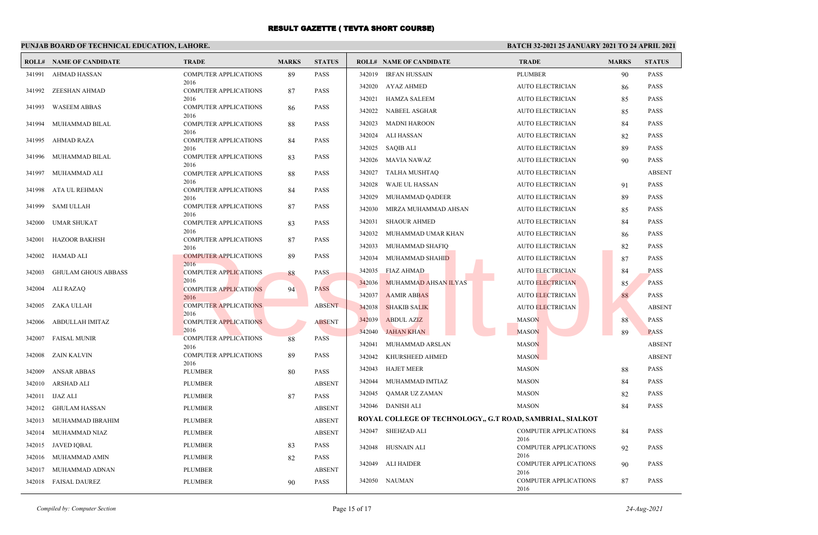### **PUNJAB BOARD OF TECHNICAL EDUCATION, LAHORE.**

|        | <b>ROLL# NAME OF CANDIDATE</b> | <b>TRADE</b>                         | <b>MARKS</b> | <b>STATUS</b> |        | <b>ROLL# NAME OF CANDIDATE</b>                            | <b>TRADE</b>                         | <b>MARKS</b> | <b>STATUS</b> |
|--------|--------------------------------|--------------------------------------|--------------|---------------|--------|-----------------------------------------------------------|--------------------------------------|--------------|---------------|
| 341991 | AHMAD HASSAN                   | <b>COMPUTER APPLICATIONS</b>         | 89           | <b>PASS</b>   | 342019 | IRFAN HUSSAIN                                             | <b>PLUMBER</b>                       | 90           | <b>PASS</b>   |
| 341992 | ZEESHAN AHMAD                  | 2016<br><b>COMPUTER APPLICATIONS</b> | 87           | PASS          | 342020 | AYAZ AHMED                                                | <b>AUTO ELECTRICIAN</b>              | 86           | <b>PASS</b>   |
|        |                                | 2016                                 |              |               | 342021 | HAMZA SALEEM                                              | <b>AUTO ELECTRICIAN</b>              | 85           | <b>PASS</b>   |
| 341993 | <b>WASEEM ABBAS</b>            | <b>COMPUTER APPLICATIONS</b><br>2016 | 86           | <b>PASS</b>   | 342022 | <b>NABEEL ASGHAR</b>                                      | <b>AUTO ELECTRICIAN</b>              | 85           | <b>PASS</b>   |
| 341994 | MUHAMMAD BILAL                 | <b>COMPUTER APPLICATIONS</b>         | 88           | <b>PASS</b>   | 342023 | <b>MADNI HAROON</b>                                       | <b>AUTO ELECTRICIAN</b>              | 84           | <b>PASS</b>   |
| 341995 | <b>AHMAD RAZA</b>              | 2016<br><b>COMPUTER APPLICATIONS</b> | 84           | PASS          | 342024 | ALI HASSAN                                                | <b>AUTO ELECTRICIAN</b>              | 82           | <b>PASS</b>   |
|        |                                | 2016                                 |              |               | 342025 | SAQIB ALI                                                 | <b>AUTO ELECTRICIAN</b>              | 89           | <b>PASS</b>   |
| 341996 | MUHAMMAD BILAL                 | <b>COMPUTER APPLICATIONS</b><br>2016 | 83           | <b>PASS</b>   | 342026 | MAVIA NAWAZ                                               | AUTO ELECTRICIAN                     | 90           | <b>PASS</b>   |
| 341997 | MUHAMMAD ALI                   | <b>COMPUTER APPLICATIONS</b>         | 88           | <b>PASS</b>   | 342027 | TALHA MUSHTAQ                                             | <b>AUTO ELECTRICIAN</b>              |              | <b>ABSENT</b> |
| 341998 | ATA UL REHMAN                  | 2016<br><b>COMPUTER APPLICATIONS</b> | 84           | <b>PASS</b>   | 342028 | WAJE UL HASSAN                                            | <b>AUTO ELECTRICIAN</b>              | 91           | <b>PASS</b>   |
|        |                                | 2016                                 |              |               | 342029 | MUHAMMAD QADEER                                           | <b>AUTO ELECTRICIAN</b>              | 89           | <b>PASS</b>   |
| 341999 | <b>SAMI ULLAH</b>              | <b>COMPUTER APPLICATIONS</b><br>2016 | 87           | <b>PASS</b>   | 342030 | MIRZA MUHAMMAD AHSAN                                      | <b>AUTO ELECTRICIAN</b>              | 85           | <b>PASS</b>   |
| 342000 | <b>UMAR SHUKAT</b>             | <b>COMPUTER APPLICATIONS</b>         | 83           | <b>PASS</b>   | 342031 | <b>SHAOUR AHMED</b>                                       | <b>AUTO ELECTRICIAN</b>              | 84           | <b>PASS</b>   |
| 342001 | HAZOOR BAKHSH                  | 2016<br><b>COMPUTER APPLICATIONS</b> | 87           | <b>PASS</b>   | 342032 | MUHAMMAD UMAR KHAN                                        | <b>AUTO ELECTRICIAN</b>              | 86           | <b>PASS</b>   |
|        |                                | 2016                                 |              |               | 342033 | MUHAMMAD SHAFIQ                                           | <b>AUTO ELECTRICIAN</b>              | 82           | <b>PASS</b>   |
| 342002 | HAMAD ALI                      | <b>COMPUTER APPLICATIONS</b><br>2016 | 89           | PASS          | 342034 | MUHAMMAD SHAHID                                           | <b>AUTO ELECTRICIAN</b>              | 87           | <b>PASS</b>   |
| 342003 | <b>GHULAM GHOUS ABBASS</b>     | <b>COMPUTER APPLICATIONS</b>         | 88           | PASS          | 342035 | FIAZ AHMAD                                                | <b>AUTO ELECTRICIAN</b>              | 84           | <b>PASS</b>   |
| 342004 | ALI RAZAQ                      | 2016<br><b>COMPUTER APPLICATIONS</b> | 94           | <b>PASS</b>   | 342036 | MUHAMMAD AHSAN ILYAS                                      | <b>AUTO ELECTRICIAN</b>              | 85           | <b>PASS</b>   |
|        |                                | 2016                                 |              |               | 342037 | <b>AAMIR ABBAS</b>                                        | <b>AUTO ELECTRICIAN</b>              | 88           | <b>PASS</b>   |
| 342005 | ZAKA ULLAH                     | <b>COMPUTER APPLICATIONS</b><br>2016 |              | <b>ABSENT</b> | 342038 | <b>SHAKIB SALIK</b>                                       | <b>AUTO ELECTRICIAN</b>              |              | <b>ABSENT</b> |
| 342006 | ABDULLAH IMITAZ                | <b>COMPUTER APPLICATIONS</b>         |              | <b>ABSENT</b> | 342039 | <b>ABDUL AZIZ</b>                                         | <b>MASON</b>                         | 88           | <b>PASS</b>   |
| 342007 | <b>FAISAL MUNIR</b>            | 2016<br><b>COMPUTER APPLICATIONS</b> | 88           | PASS          | 342040 | <b>JAHAN KHAN</b>                                         | <b>MASON</b>                         | 89           | <b>PASS</b>   |
|        |                                | 2016                                 |              |               | 342041 | MUHAMMAD ARSLAN                                           | <b>MASON</b>                         |              | <b>ABSENT</b> |
| 342008 | ZAIN KALVIN                    | <b>COMPUTER APPLICATIONS</b><br>2016 | 89           | <b>PASS</b>   | 342042 | KHURSHEED AHMED                                           | <b>MASON</b>                         |              | <b>ABSENT</b> |
| 342009 | <b>ANSAR ABBAS</b>             | <b>PLUMBER</b>                       | 80           | PASS          | 342043 | <b>HAJET MEER</b>                                         | <b>MASON</b>                         | 88           | <b>PASS</b>   |
| 342010 | ARSHAD ALI                     | <b>PLUMBER</b>                       |              | <b>ABSENT</b> | 342044 | MUHAMMAD IMTIAZ                                           | <b>MASON</b>                         | 84           | <b>PASS</b>   |
| 342011 | IJAZ ALI                       | <b>PLUMBER</b>                       | 87           | PASS          | 342045 | QAMAR UZ ZAMAN                                            | <b>MASON</b>                         | 82           | <b>PASS</b>   |
| 342012 | GHULAM HASSAN                  | <b>PLUMBER</b>                       |              | <b>ABSENT</b> |        | 342046 DANISH ALI                                         | <b>MASON</b>                         | 84           | <b>PASS</b>   |
| 342013 | MUHAMMAD IBRAHIM               | <b>PLUMBER</b>                       |              | <b>ABSENT</b> |        | ROYAL COLLEGE OF TECHNOLOGY,, G.T ROAD, SAMBRIAL, SIALKOT |                                      |              |               |
| 342014 | MUHAMMAD NIAZ                  | <b>PLUMBER</b>                       |              | <b>ABSENT</b> |        | 342047 SHEHZAD ALI                                        | <b>COMPUTER APPLICATIONS</b>         | 84           | <b>PASS</b>   |
| 342015 | JAVED IQBAL                    | <b>PLUMBER</b>                       | 83           | <b>PASS</b>   |        | 342048 HUSNAIN ALI                                        | 2016<br><b>COMPUTER APPLICATIONS</b> | 92           | <b>PASS</b>   |
| 342016 | MUHAMMAD AMIN                  | <b>PLUMBER</b>                       | 82           | PASS          |        |                                                           | 2016                                 |              |               |
| 342017 | MUHAMMAD ADNAN                 | <b>PLUMBER</b>                       |              | <b>ABSENT</b> | 342049 | ALI HAIDER                                                | <b>COMPUTER APPLICATIONS</b><br>2016 | 90           | <b>PASS</b>   |
|        | 342018 FAISAL DAUREZ           | <b>PLUMBER</b>                       | 90           | <b>PASS</b>   |        | 342050 NAUMAN                                             | <b>COMPUTER APPLICATIONS</b><br>2016 | 87           | <b>PASS</b>   |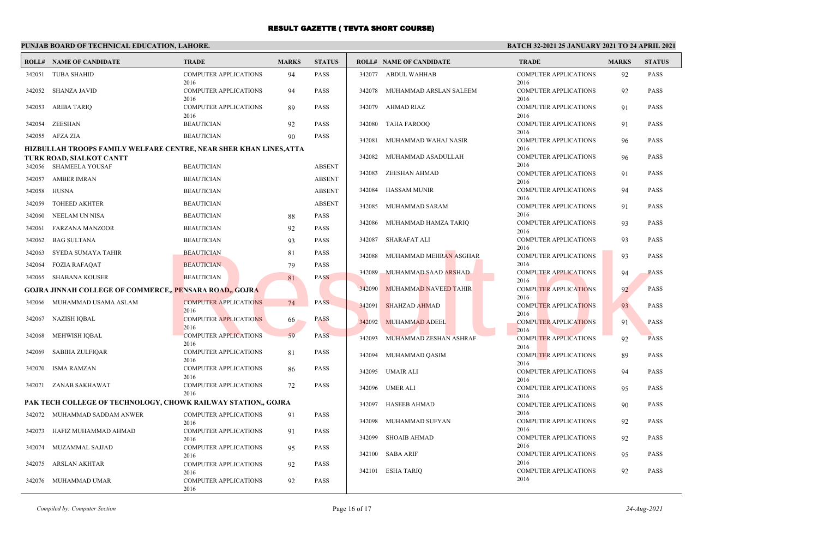# **PUNJAB BOARD OF TECHNICAL EDUCATION, LAHORE.**

|                                                                                                | <b>ROLL# NAME OF CANDIDATE</b>                                | <b>TRADE</b>                                 | <b>MARKS</b> | <b>STATUS</b> |        | <b>ROLL# NAME OF CANDIDATE</b> | <b>TRADE</b>                         | <b>MARKS</b> | <b>STATUS</b> |
|------------------------------------------------------------------------------------------------|---------------------------------------------------------------|----------------------------------------------|--------------|---------------|--------|--------------------------------|--------------------------------------|--------------|---------------|
| 342051                                                                                         | <b>TUBA SHAHID</b>                                            | <b>COMPUTER APPLICATIONS</b><br>2016         | 94           | <b>PASS</b>   |        | 342077 ABDUL WAHHAB            | <b>COMPUTER APPLICATIONS</b><br>2016 | 92           | <b>PASS</b>   |
| 342052                                                                                         | SHANZA JAVID                                                  | <b>COMPUTER APPLICATIONS</b><br>2016         | 94           | <b>PASS</b>   | 342078 | MUHAMMAD ARSLAN SALEEM         | <b>COMPUTER APPLICATIONS</b><br>2016 | 92           | <b>PASS</b>   |
| 342053                                                                                         | ARIBA TARIQ                                                   | <b>COMPUTER APPLICATIONS</b><br>2016         | 89           | <b>PASS</b>   |        | 342079 AHMAD RIAZ              | <b>COMPUTER APPLICATIONS</b><br>2016 | 91           | <b>PASS</b>   |
| 342054                                                                                         | ZEESHAN                                                       | <b>BEAUTICIAN</b>                            | 92           | <b>PASS</b>   |        | 342080 TAHA FAROOQ             | <b>COMPUTER APPLICATIONS</b><br>2016 | 91           | <b>PASS</b>   |
|                                                                                                | 342055 AFZA ZIA                                               | <b>BEAUTICIAN</b>                            | 90           | <b>PASS</b>   | 342081 | MUHAMMAD WAHAJ NASIR           | <b>COMPUTER APPLICATIONS</b>         | 96           | <b>PASS</b>   |
| HIZBULLAH TROOPS FAMILY WELFARE CENTRE, NEAR SHER KHAN LINES, ATTA<br>TURK ROAD, SIALKOT CANTT |                                                               |                                              |              |               | 342082 | MUHAMMAD ASADULLAH             | 2016<br><b>COMPUTER APPLICATIONS</b> | 96           | <b>PASS</b>   |
|                                                                                                | 342056 SHAMEELA YOUSAF                                        | <b>BEAUTICIAN</b>                            |              | <b>ABSENT</b> |        |                                | 2016                                 |              |               |
| 342057                                                                                         | <b>AMBER IMRAN</b>                                            | <b>BEAUTICIAN</b>                            |              | <b>ABSENT</b> | 342083 | ZEESHAN AHMAD                  | <b>COMPUTER APPLICATIONS</b><br>2016 | 91           | <b>PASS</b>   |
| 342058                                                                                         | HUSNA                                                         | <b>BEAUTICIAN</b>                            |              | <b>ABSENT</b> | 342084 | <b>HASSAM MUNIR</b>            | <b>COMPUTER APPLICATIONS</b>         | 94           | <b>PASS</b>   |
| 342059                                                                                         | <b>TOHEED AKHTER</b>                                          | <b>BEAUTICIAN</b>                            |              | <b>ABSENT</b> | 342085 | MUHAMMAD SARAM                 | 2016<br><b>COMPUTER APPLICATIONS</b> | 91           | <b>PASS</b>   |
| 342060                                                                                         | NEELAM UN NISA                                                | <b>BEAUTICIAN</b>                            | 88           | <b>PASS</b>   | 342086 | MUHAMMAD HAMZA TARIQ           | 2016<br><b>COMPUTER APPLICATIONS</b> | 93           | <b>PASS</b>   |
| 342061                                                                                         | <b>FARZANA MANZOOR</b>                                        | <b>BEAUTICIAN</b>                            | 92           | <b>PASS</b>   |        |                                | 2016                                 |              |               |
| 342062                                                                                         | <b>BAG SULTANA</b>                                            | <b>BEAUTICIAN</b>                            | 93           | <b>PASS</b>   | 342087 | <b>SHARAFAT ALI</b>            | <b>COMPUTER APPLICATIONS</b><br>2016 | 93           | <b>PASS</b>   |
| 342063                                                                                         | SYEDA SUMAYA TAHIR                                            | <b>BEAUTICIAN</b>                            | 81           | <b>PASS</b>   | 342088 | MUHAMMAD MEHRAN ASGHAR         | <b>COMPUTER APPLICATIONS</b>         | 93           | <b>PASS</b>   |
| 342064                                                                                         | <b>FOZIA RAFAQAT</b>                                          | <b>BEAUTICIAN</b>                            | 79           | <b>PASS</b>   | 342089 | MUHAMMAD SAAD ARSHAD           | 2016<br><b>COMPUTER APPLICATIONS</b> | 94           | <b>PASS</b>   |
| 342065                                                                                         | <b>SHABANA KOUSER</b>                                         | <b>BEAUTICIAN</b>                            | 81           | <b>PASS</b>   |        |                                | 2016                                 |              |               |
| <b>GOJRA JINNAH COLLEGE OF COMMERCE,, PENSARA ROAD,, GOJRA</b>                                 |                                                               |                                              |              |               | 342090 | MUHAMMAD NAVEED TAHIR          | <b>COMPUTER APPLICATIONS</b><br>2016 | 92           | <b>PASS</b>   |
|                                                                                                | 342066 MUHAMMAD USAMA ASLAM                                   | <b>COMPUTER APPLICATIONS</b><br>2016         | 74           | <b>PASS</b>   | 342091 | <b>SHAHZAD AHMAD</b>           | COMPUTER APPLICATIONS<br>2016        | 93           | <b>PASS</b>   |
| 342067                                                                                         | NAZISH IQBAL                                                  | <b>COMPUTER APPLICATIONS</b><br>2016         | 66           | <b>PASS</b>   | 342092 | <b>MUHAMMAD ADEEL</b>          | <b>COMPUTER APPLICATIONS</b>         | 91           | <b>PASS</b>   |
| 342068                                                                                         | MEHWISH IQBAL                                                 | <b>COMPUTER APPLICATIONS</b><br>2016         | 59           | <b>PASS</b>   | 342093 | MUHAMMAD ZESHAN ASHRAF         | 2016<br><b>COMPUTER APPLICATIONS</b> | 92           | <b>PASS</b>   |
| 342069                                                                                         | SABIHA ZULFIQAR                                               | <b>COMPUTER APPLICATIONS</b><br>2016         | 81           | <b>PASS</b>   | 342094 | MUHAMMAD QASIM                 | 2016<br><b>COMPUTER APPLICATIONS</b> | 89           | <b>PASS</b>   |
| 342070                                                                                         | <b>ISMA RAMZAN</b>                                            | COMPUTER APPLICATIONS<br>2016                | 86           | <b>PASS</b>   |        | 342095 UMAIR ALI               | 2016<br><b>COMPUTER APPLICATIONS</b> | 94           | <b>PASS</b>   |
| 342071                                                                                         | ZANAB SAKHAWAT                                                | <b>COMPUTER APPLICATIONS</b><br>2016         | 72           | <b>PASS</b>   |        | 342096 UMER ALI                | 2016<br><b>COMPUTER APPLICATIONS</b> | 95           | <b>PASS</b>   |
|                                                                                                | PAK TECH COLLEGE OF TECHNOLOGY, CHOWK RAILWAY STATION,, GOJRA |                                              |              |               | 342097 | <b>HASEEB AHMAD</b>            | 2016<br><b>COMPUTER APPLICATIONS</b> | 90           | <b>PASS</b>   |
|                                                                                                | 342072 MUHAMMAD SADDAM ANWER                                  | <b>COMPUTER APPLICATIONS</b>                 | 91           | <b>PASS</b>   |        |                                | 2016                                 |              |               |
| 342073                                                                                         | HAFIZ MUHAMMAD AHMAD                                          | 2016<br><b>COMPUTER APPLICATIONS</b>         | 91           | <b>PASS</b>   | 342098 | MUHAMMAD SUFYAN                | <b>COMPUTER APPLICATIONS</b><br>2016 | 92           | <b>PASS</b>   |
|                                                                                                |                                                               | 2016                                         |              |               |        | 342099 SHOAIB AHMAD            | <b>COMPUTER APPLICATIONS</b>         | 92           | <b>PASS</b>   |
| 342074                                                                                         | MUZAMMAL SAJJAD                                               | <b>COMPUTER APPLICATIONS</b><br>2016         | 95           | <b>PASS</b>   |        | 342100 SABA ARIF               | 2016<br><b>COMPUTER APPLICATIONS</b> | 95           | <b>PASS</b>   |
| 342075                                                                                         | <b>ARSLAN AKHTAR</b>                                          | <b>COMPUTER APPLICATIONS</b>                 | 92           | <b>PASS</b>   |        |                                | 2016                                 |              |               |
|                                                                                                | 342076 MUHAMMAD UMAR                                          | 2016<br><b>COMPUTER APPLICATIONS</b><br>2016 | 92           | <b>PASS</b>   |        | 342101 ESHA TARIQ              | <b>COMPUTER APPLICATIONS</b><br>2016 | 92           | <b>PASS</b>   |